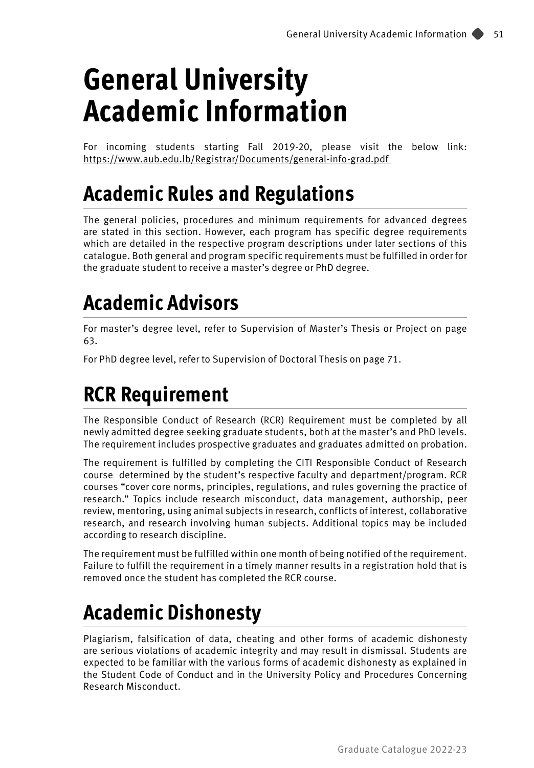# **General University Academic Information**

For incoming students starting Fall 2019-20, please visit the below link: https://www.aub.edu.lb/Registrar/Documents/general-info-grad.pdf

## **Academic Rules and Regulations**

The general policies, procedures and minimum requirements for advanced degrees are stated in this section. However, each program has specific degree requirements which are detailed in the respective program descriptions under later sections of this catalogue. Both general and program specific requirements must be fulfilled in order for the graduate student to receive a master's degree or PhD degree.

## **Academic Advisors**

For master's degree level, refer to Supervision of Master's Thesis or Project on page [63](#page-12-0).

For PhD degree level, refer to Supervision of Doctoral Thesis on page [71.](#page-20-0)

## **RCR Requirement**

The Responsible Conduct of Research (RCR) Requirement must be completed by all newly admitted degree seeking graduate students, both at the master's and PhD levels. The requirement includes prospective graduates and graduates admitted on probation.

The requirement is fulfilled by completing the CITI Responsible Conduct of Research course determined by the student's respective faculty and department/program. RCR courses "cover core norms, principles, regulations, and rules governing the practice of research." Topics include research misconduct, data management, authorship, peer review, mentoring, using animal subjects in research, conflicts of interest, collaborative research, and research involving human subjects. Additional topics may be included according to research discipline.

The requirement must be fulfilled within one month of being notified of the requirement. Failure to fulfill the requirement in a timely manner results in a registration hold that is removed once the student has completed the RCR course.

## **Academic Dishonesty**

Plagiarism, falsification of data, cheating and other forms of academic dishonesty are serious violations of academic integrity and may result in dismissal. Students are expected to be familiar with the various forms of academic dishonesty as explained in the Student Code of Conduct and in the University Policy and Procedures Concerning Research Misconduct.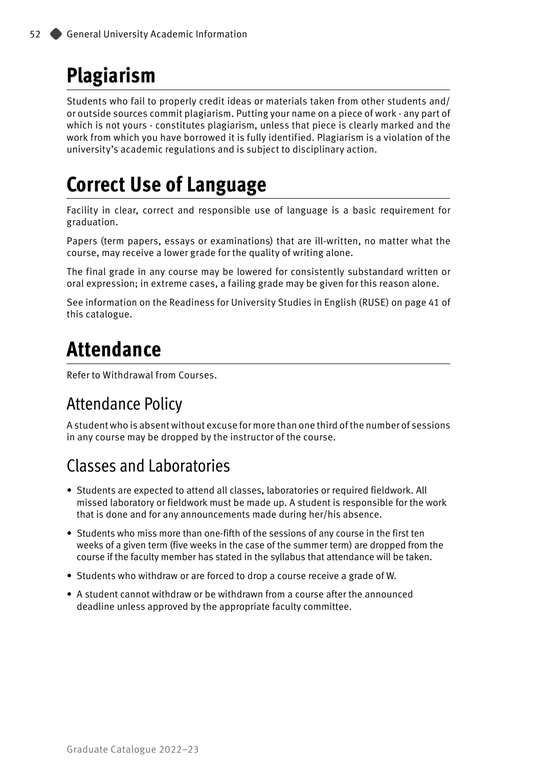## **Plagiarism**

Students who fail to properly credit ideas or materials taken from other students and/ or outside sources commit plagiarism. Putting your name on a piece of work - any part of which is not yours - constitutes plagiarism, unless that piece is clearly marked and the work from which you have borrowed it is fully identified. Plagiarism is a violation of the university's academic regulations and is subject to disciplinary action.

### **Correct Use of Language**

Facility in clear, correct and responsible use of language is a basic requirement for graduation.

Papers (term papers, essays or examinations) that are ill-written, no matter what the course, may receive a lower grade for the quality of writing alone.

The final grade in any course may be lowered for consistently substandard written or oral expression; in extreme cases, a failing grade may be given for this reason alone.

See information on the Readiness for University Studies in English (RUSE) on page 41 of this catalogue.

## **Attendance**

Refer to Withdrawal from Courses.

### Attendance Policy

A student who is absent without excuse for more than one third of the number of sessions in any course may be dropped by the instructor of the course.

### Classes and Laboratories

- Students are expected to attend all classes, laboratories or required fieldwork. All missed laboratory or fieldwork must be made up. A student is responsible for the work that is done and for any announcements made during her/his absence.
- Students who miss more than one-fifth of the sessions of any course in the first ten weeks of a given term (five weeks in the case of the summer term) are dropped from the course if the faculty member has stated in the syllabus that attendance will be taken.
- Students who withdraw or are forced to drop a course receive a grade of W.
- A student cannot withdraw or be withdrawn from a course after the announced deadline unless approved by the appropriate faculty committee.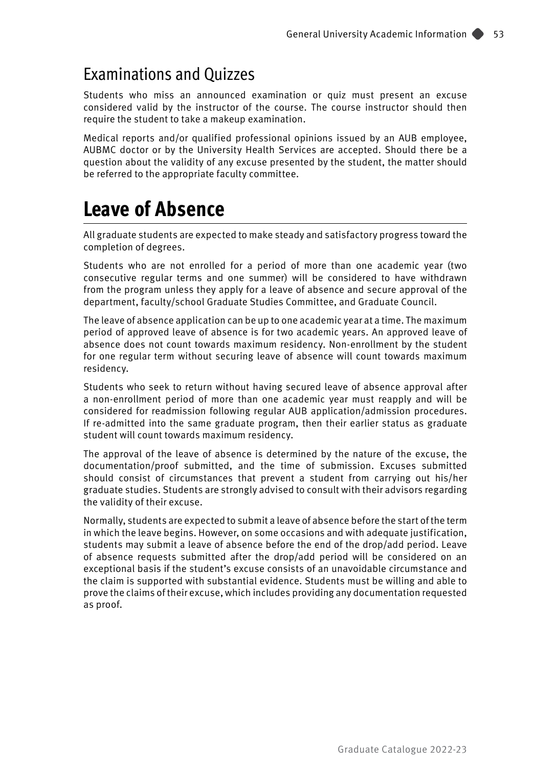#### Examinations and Quizzes

Students who miss an announced examination or quiz must present an excuse considered valid by the instructor of the course. The course instructor should then require the student to take a makeup examination.

Medical reports and/or qualified professional opinions issued by an AUB employee, AUBMC doctor or by the University Health Services are accepted. Should there be a question about the validity of any excuse presented by the student, the matter should be referred to the appropriate faculty committee.

### **Leave of Absence**

All graduate students are expected to make steady and satisfactory progress toward the completion of degrees.

Students who are not enrolled for a period of more than one academic year (two consecutive regular terms and one summer) will be considered to have withdrawn from the program unless they apply for a leave of absence and secure approval of the department, faculty/school Graduate Studies Committee, and Graduate Council.

The leave of absence application can be up to one academic year at a time. The maximum period of approved leave of absence is for two academic years. An approved leave of absence does not count towards maximum residency. Non-enrollment by the student for one regular term without securing leave of absence will count towards maximum residency.

Students who seek to return without having secured leave of absence approval after a non-enrollment period of more than one academic year must reapply and will be considered for readmission following regular AUB application/admission procedures. If re-admitted into the same graduate program, then their earlier status as graduate student will count towards maximum residency.

The approval of the leave of absence is determined by the nature of the excuse, the documentation/proof submitted, and the time of submission. Excuses submitted should consist of circumstances that prevent a student from carrying out his/her graduate studies. Students are strongly advised to consult with their advisors regarding the validity of their excuse.

Normally, students are expected to submit a leave of absence before the start of the term in which the leave begins. However, on some occasions and with adequate justification, students may submit a leave of absence before the end of the drop/add period. Leave of absence requests submitted after the drop/add period will be considered on an exceptional basis if the student's excuse consists of an unavoidable circumstance and the claim is supported with substantial evidence. Students must be willing and able to prove the claims of their excuse, which includes providing any documentation requested as proof.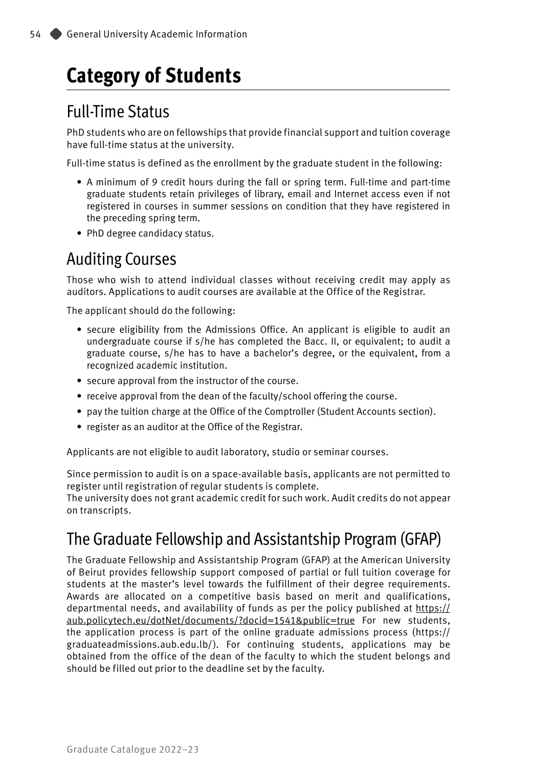## **Category of Students**

### Full-Time Status

PhD students who are on fellowships that provide financial support and tuition coverage have full-time status at the university.

Full-time status is defined as the enrollment by the graduate student in the following:

- A minimum of 9 credit hours during the fall or spring term. Full-time and part-time graduate students retain privileges of library, email and Internet access even if not registered in courses in summer sessions on condition that they have registered in the preceding spring term.
- PhD degree candidacy status.

#### Auditing Courses

Those who wish to attend individual classes without receiving credit may apply as auditors. Applications to audit courses are available at the Office of the Registrar.

The applicant should do the following:

- secure eligibility from the Admissions Office. An applicant is eligible to audit an undergraduate course if s/he has completed the Bacc. II, or equivalent; to audit a graduate course, s/he has to have a bachelor's degree, or the equivalent, from a recognized academic institution.
- secure approval from the instructor of the course.
- receive approval from the dean of the faculty/school offering the course.
- pay the tuition charge at the Office of the Comptroller (Student Accounts section).
- register as an auditor at the Office of the Registrar.

Applicants are not eligible to audit laboratory, studio or seminar courses.

Since permission to audit is on a space-available basis, applicants are not permitted to register until registration of regular students is complete.

The university does not grant academic credit for such work. Audit credits do not appear on transcripts.

#### The Graduate Fellowship and Assistantship Program (GFAP)

The Graduate Fellowship and Assistantship Program (GFAP) at the American University of Beirut provides fellowship support composed of partial or full tuition coverage for students at the master's level towards the fulfillment of their degree requirements. Awards are allocated on a competitive basis based on merit and qualifications, departmental needs, and availability of funds as per the policy published at [https://](https://aub.policytech.eu/dotNet/documents/?docid=1541&public=true) [aub.policytech.eu/dotNet/documents/?docid=1541&public=true](https://aub.policytech.eu/dotNet/documents/?docid=1541&public=true) For new students, the application process is part of the online graduate admissions process ([https://](https://graduateadmissions.aub.edu.lb) [graduateadmissions.aub.edu.lb/](https://graduateadmissions.aub.edu.lb)). For continuing students, applications may be obtained from the office of the dean of the faculty to which the student belongs and should be filled out prior to the deadline set by the faculty.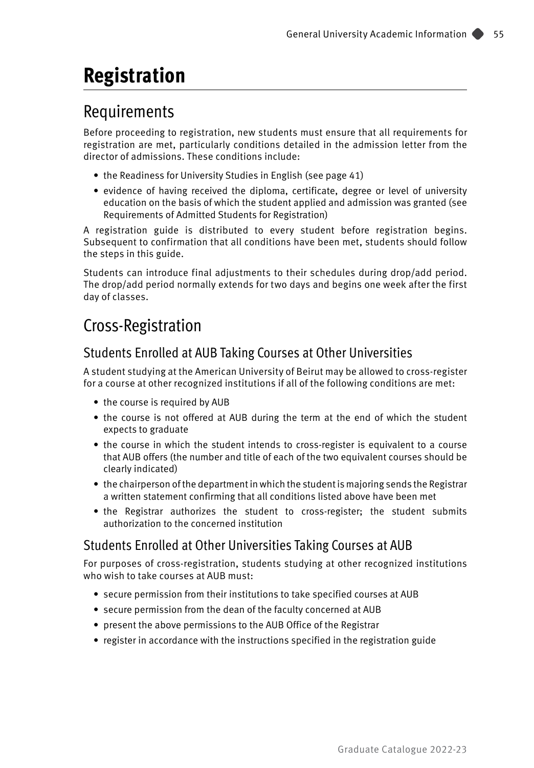### **Registration**

#### Requirements

Before proceeding to registration, new students must ensure that all requirements for registration are met, particularly conditions detailed in the admission letter from the director of admissions. These conditions include:

- the Readiness for University Studies in English (see page 41)
- evidence of having received the diploma, certificate, degree or level of university education on the basis of which the student applied and admission was granted (see Requirements of Admitted Students for Registration)

A registration guide is distributed to every student before registration begins. Subsequent to confirmation that all conditions have been met, students should follow the steps in this guide.

Students can introduce final adjustments to their schedules during drop/add period. The drop/add period normally extends for two days and begins one week after the first day of classes.

#### Cross-Registration

#### Students Enrolled at AUB Taking Courses at Other Universities

A student studying at the American University of Beirut may be allowed to cross-register for a course at other recognized institutions if all of the following conditions are met:

- the course is required by AUB
- the course is not offered at AUB during the term at the end of which the student expects to graduate
- the course in which the student intends to cross-register is equivalent to a course that AUB offers (the number and title of each of the two equivalent courses should be clearly indicated)
- the chairperson of the department in which the student is majoring sends the Registrar a written statement confirming that all conditions listed above have been met
- the Registrar authorizes the student to cross-register; the student submits authorization to the concerned institution

#### Students Enrolled at Other Universities Taking Courses at AUB

For purposes of cross-registration, students studying at other recognized institutions who wish to take courses at AUB must:

- secure permission from their institutions to take specified courses at AUB
- secure permission from the dean of the faculty concerned at AUB
- present the above permissions to the AUB Office of the Registrar
- register in accordance with the instructions specified in the registration guide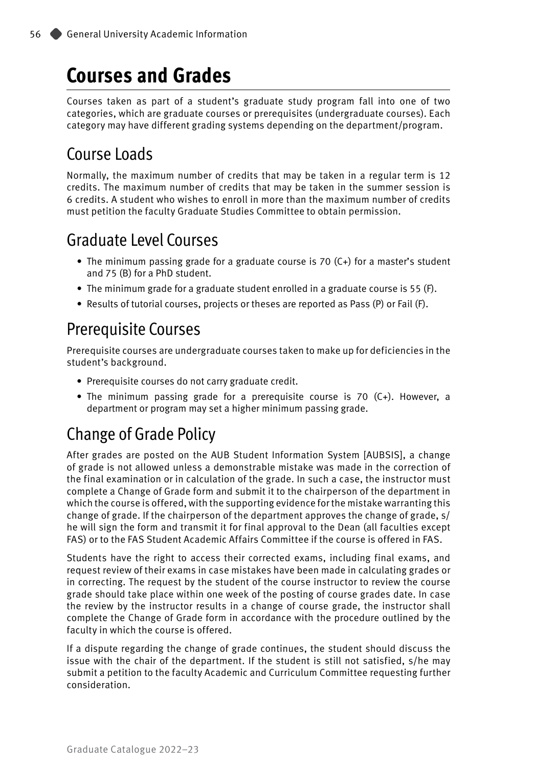### **Courses and Grades**

Courses taken as part of a student's graduate study program fall into one of two categories, which are graduate courses or prerequisites (undergraduate courses). Each category may have different grading systems depending on the department/program.

### Course Loads

Normally, the maximum number of credits that may be taken in a regular term is 12 credits. The maximum number of credits that may be taken in the summer session is 6 credits. A student who wishes to enroll in more than the maximum number of credits must petition the faculty Graduate Studies Committee to obtain permission.

#### Graduate Level Courses

- The minimum passing grade for a graduate course is 70 (C+) for a master's student and 75 (B) for a PhD student.
- The minimum grade for a graduate student enrolled in a graduate course is 55 (F).
- Results of tutorial courses, projects or theses are reported as Pass (P) or Fail (F).

### Prerequisite Courses

Prerequisite courses are undergraduate courses taken to make up for deficiencies in the student's background.

- Prerequisite courses do not carry graduate credit.
- The minimum passing grade for a prerequisite course is 70 (C+). However, a department or program may set a higher minimum passing grade.

### Change of Grade Policy

After grades are posted on the AUB Student Information System [AUBSIS], a change of grade is not allowed unless a demonstrable mistake was made in the correction of the final examination or in calculation of the grade. In such a case, the instructor must complete a Change of Grade form and submit it to the chairperson of the department in which the course is offered, with the supporting evidence for the mistake warranting this change of grade. If the chairperson of the department approves the change of grade, s/ he will sign the form and transmit it for final approval to the Dean (all faculties except FAS) or to the FAS Student Academic Affairs Committee if the course is offered in FAS.

Students have the right to access their corrected exams, including final exams, and request review of their exams in case mistakes have been made in calculating grades or in correcting. The request by the student of the course instructor to review the course grade should take place within one week of the posting of course grades date. In case the review by the instructor results in a change of course grade, the instructor shall complete the Change of Grade form in accordance with the procedure outlined by the faculty in which the course is offered.

If a dispute regarding the change of grade continues, the student should discuss the issue with the chair of the department. If the student is still not satisfied, s/he may submit a petition to the faculty Academic and Curriculum Committee requesting further consideration.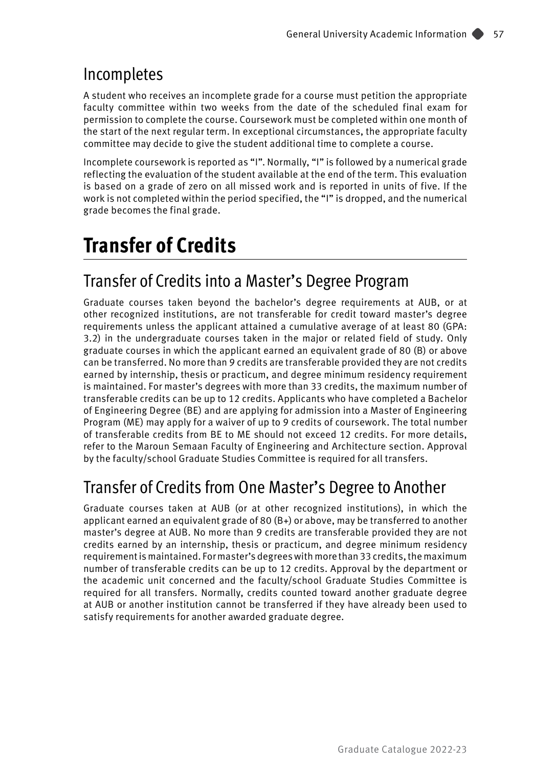### Incompletes

A student who receives an incomplete grade for a course must petition the appropriate faculty committee within two weeks from the date of the scheduled final exam for permission to complete the course. Coursework must be completed within one month of the start of the next regular term. In exceptional circumstances, the appropriate faculty committee may decide to give the student additional time to complete a course.

Incomplete coursework is reported as "I". Normally, "I" is followed by a numerical grade reflecting the evaluation of the student available at the end of the term. This evaluation is based on a grade of zero on all missed work and is reported in units of five. If the work is not completed within the period specified, the "I" is dropped, and the numerical grade becomes the final grade.

## **Transfer of Credits**

### Transfer of Credits into a Master's Degree Program

Graduate courses taken beyond the bachelor's degree requirements at AUB, or at other recognized institutions, are not transferable for credit toward master's degree requirements unless the applicant attained a cumulative average of at least 80 (GPA: 3.2) in the undergraduate courses taken in the major or related field of study. Only graduate courses in which the applicant earned an equivalent grade of 80 (B) or above can be transferred. No more than 9 credits are transferable provided they are not credits earned by internship, thesis or practicum, and degree minimum residency requirement is maintained. For master's degrees with more than 33 credits, the maximum number of transferable credits can be up to 12 credits. Applicants who have completed a Bachelor of Engineering Degree (BE) and are applying for admission into a Master of Engineering Program (ME) may apply for a waiver of up to 9 credits of coursework. The total number of transferable credits from BE to ME should not exceed 12 credits. For more details, refer to the Maroun Semaan Faculty of Engineering and Architecture section. Approval by the faculty/school Graduate Studies Committee is required for all transfers.

### Transfer of Credits from One Master's Degree to Another

Graduate courses taken at AUB (or at other recognized institutions), in which the applicant earned an equivalent grade of 80 (B+) or above, may be transferred to another master's degree at AUB. No more than 9 credits are transferable provided they are not credits earned by an internship, thesis or practicum, and degree minimum residency requirement is maintained. For master's degrees with more than 33 credits, the maximum number of transferable credits can be up to 12 credits. Approval by the department or the academic unit concerned and the faculty/school Graduate Studies Committee is required for all transfers. Normally, credits counted toward another graduate degree at AUB or another institution cannot be transferred if they have already been used to satisfy requirements for another awarded graduate degree.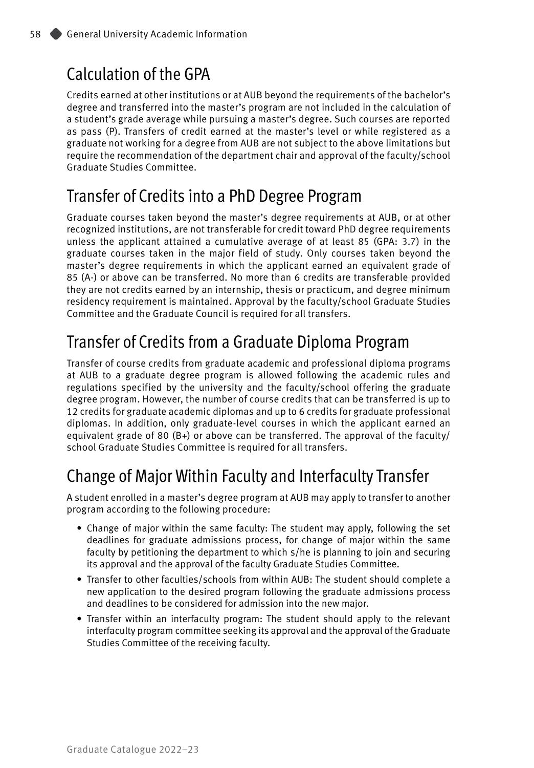### Calculation of the GPA

Credits earned at other institutions or at AUB beyond the requirements of the bachelor's degree and transferred into the master's program are not included in the calculation of a student's grade average while pursuing a master's degree. Such courses are reported as pass (P). Transfers of credit earned at the master's level or while registered as a graduate not working for a degree from AUB are not subject to the above limitations but require the recommendation of the department chair and approval of the faculty/school Graduate Studies Committee.

### Transfer of Credits into a PhD Degree Program

Graduate courses taken beyond the master's degree requirements at AUB, or at other recognized institutions, are not transferable for credit toward PhD degree requirements unless the applicant attained a cumulative average of at least 85 (GPA: 3.7) in the graduate courses taken in the major field of study. Only courses taken beyond the master's degree requirements in which the applicant earned an equivalent grade of 85 (A-) or above can be transferred. No more than 6 credits are transferable provided they are not credits earned by an internship, thesis or practicum, and degree minimum residency requirement is maintained. Approval by the faculty/school Graduate Studies Committee and the Graduate Council is required for all transfers.

### Transfer of Credits from a Graduate Diploma Program

Transfer of course credits from graduate academic and professional diploma programs at AUB to a graduate degree program is allowed following the academic rules and regulations specified by the university and the faculty/school offering the graduate degree program. However, the number of course credits that can be transferred is up to 12 credits for graduate academic diplomas and up to 6 credits for graduate professional diplomas. In addition, only graduate-level courses in which the applicant earned an equivalent grade of 80 (B+) or above can be transferred. The approval of the faculty/ school Graduate Studies Committee is required for all transfers.

### Change of Major Within Faculty and Interfaculty Transfer

A student enrolled in a master's degree program at AUB may apply to transfer to another program according to the following procedure:

- Change of major within the same faculty: The student may apply, following the set deadlines for graduate admissions process, for change of major within the same faculty by petitioning the department to which s/he is planning to join and securing its approval and the approval of the faculty Graduate Studies Committee.
- Transfer to other faculties/schools from within AUB: The student should complete a new application to the desired program following the graduate admissions process and deadlines to be considered for admission into the new major.
- Transfer within an interfaculty program: The student should apply to the relevant interfaculty program committee seeking its approval and the approval of the Graduate Studies Committee of the receiving faculty.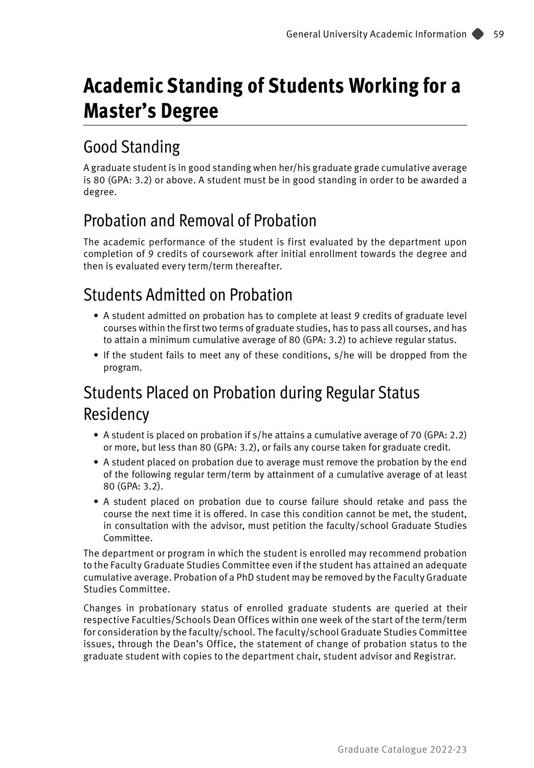### **Academic Standing of Students Working for a Master's Degree**

### Good Standing

A graduate student is in good standing when her/his graduate grade cumulative average is 80 (GPA: 3.2) or above. A student must be in good standing in order to be awarded a degree.

#### Probation and Removal of Probation

The academic performance of the student is first evaluated by the department upon completion of 9 credits of coursework after initial enrollment towards the degree and then is evaluated every term/term thereafter.

### Students Admitted on Probation

- A student admitted on probation has to complete at least 9 credits of graduate level courses within the first two terms of graduate studies, has to pass all courses, and has to attain a minimum cumulative average of 80 (GPA: 3.2) to achieve regular status.
- If the student fails to meet any of these conditions, s/he will be dropped from the program.

### Students Placed on Probation during Regular Status **Residency**

- A student is placed on probation if s/he attains a cumulative average of 70 (GPA: 2.2) or more, but less than 80 (GPA: 3.2), or fails any course taken for graduate credit.
- A student placed on probation due to average must remove the probation by the end of the following regular term/term by attainment of a cumulative average of at least 80 (GPA: 3.2).
- A student placed on probation due to course failure should retake and pass the course the next time it is offered. In case this condition cannot be met, the student, in consultation with the advisor, must petition the faculty/school Graduate Studies Committee.

The department or program in which the student is enrolled may recommend probation to the Faculty Graduate Studies Committee even if the student has attained an adequate cumulative average. Probation of a PhD student may be removed by the Faculty Graduate Studies Committee.

Changes in probationary status of enrolled graduate students are queried at their respective Faculties/Schools Dean Offices within one week of the start of the term/term for consideration by the faculty/school. The faculty/school Graduate Studies Committee issues, through the Dean's Office, the statement of change of probation status to the graduate student with copies to the department chair, student advisor and Registrar.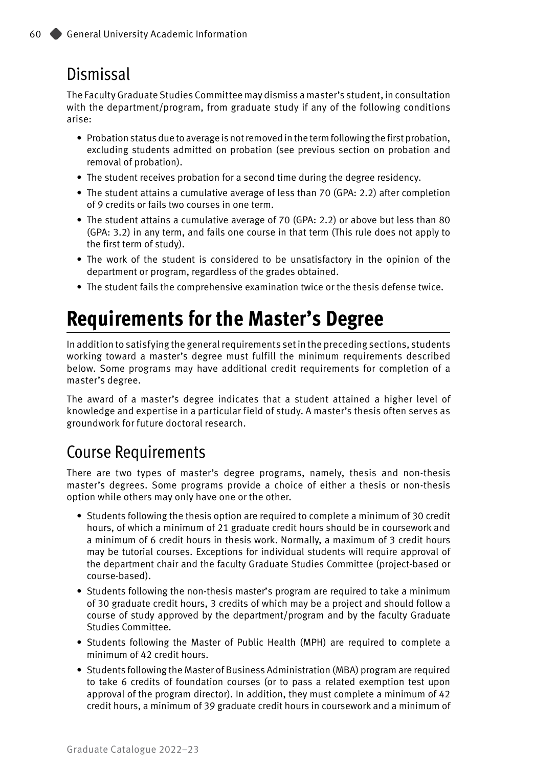### Dismissal

The Faculty Graduate Studies Committee may dismiss a master's student, in consultation with the department/program, from graduate study if any of the following conditions arise:

- Probation status due to average is not removed in the term following the first probation, excluding students admitted on probation (see previous section on probation and removal of probation).
- The student receives probation for a second time during the degree residency.
- The student attains a cumulative average of less than 70 (GPA: 2.2) after completion of 9 credits or fails two courses in one term.
- The student attains a cumulative average of 70 (GPA: 2.2) or above but less than 80 (GPA: 3.2) in any term, and fails one course in that term (This rule does not apply to the first term of study).
- The work of the student is considered to be unsatisfactory in the opinion of the department or program, regardless of the grades obtained.
- The student fails the comprehensive examination twice or the thesis defense twice.

### **Requirements for the Master's Degree**

In addition to satisfying the general requirements set in the preceding sections, students working toward a master's degree must fulfill the minimum requirements described below. Some programs may have additional credit requirements for completion of a master's degree.

The award of a master's degree indicates that a student attained a higher level of knowledge and expertise in a particular field of study. A master's thesis often serves as groundwork for future doctoral research.

#### Course Requirements

There are two types of master's degree programs, namely, thesis and non-thesis master's degrees. Some programs provide a choice of either a thesis or non-thesis option while others may only have one or the other.

- Students following the thesis option are required to complete a minimum of 30 credit hours, of which a minimum of 21 graduate credit hours should be in coursework and a minimum of 6 credit hours in thesis work. Normally, a maximum of 3 credit hours may be tutorial courses. Exceptions for individual students will require approval of the department chair and the faculty Graduate Studies Committee (project-based or course-based).
- Students following the non-thesis master's program are required to take a minimum of 30 graduate credit hours, 3 credits of which may be a project and should follow a course of study approved by the department/program and by the faculty Graduate Studies Committee.
- Students following the Master of Public Health (MPH) are required to complete a minimum of 42 credit hours.
- Students following the Master of Business Administration (MBA) program are required to take 6 credits of foundation courses (or to pass a related exemption test upon approval of the program director). In addition, they must complete a minimum of 42 credit hours, a minimum of 39 graduate credit hours in coursework and a minimum of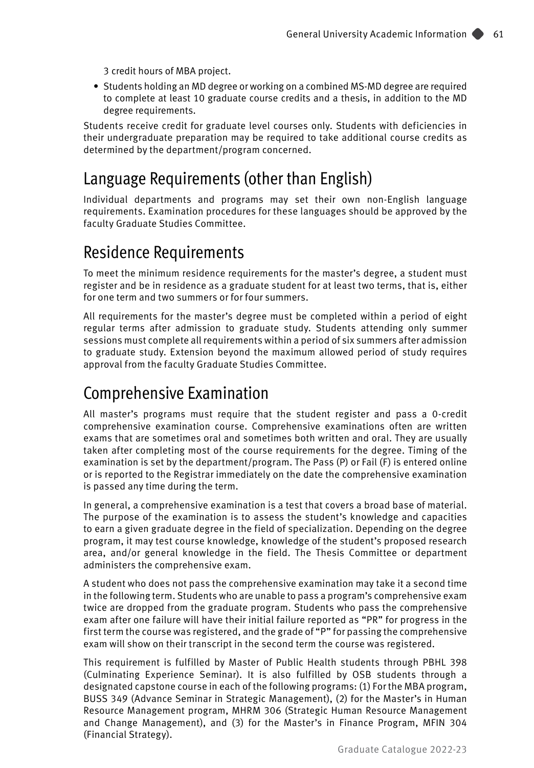3 credit hours of MBA project.

• Students holding an MD degree or working on a combined MS-MD degree are required to complete at least 10 graduate course credits and a thesis, in addition to the MD degree requirements.

Students receive credit for graduate level courses only. Students with deficiencies in their undergraduate preparation may be required to take additional course credits as determined by the department/program concerned.

#### Language Requirements (other than English)

Individual departments and programs may set their own non-English language requirements. Examination procedures for these languages should be approved by the faculty Graduate Studies Committee.

#### Residence Requirements

To meet the minimum residence requirements for the master's degree, a student must register and be in residence as a graduate student for at least two terms, that is, either for one term and two summers or for four summers.

All requirements for the master's degree must be completed within a period of eight regular terms after admission to graduate study. Students attending only summer sessions must complete all requirements within a period of six summers after admission to graduate study. Extension beyond the maximum allowed period of study requires approval from the faculty Graduate Studies Committee.

#### Comprehensive Examination

All master's programs must require that the student register and pass a 0-credit comprehensive examination course. Comprehensive examinations often are written exams that are sometimes oral and sometimes both written and oral. They are usually taken after completing most of the course requirements for the degree. Timing of the examination is set by the department/program. The Pass (P) or Fail (F) is entered online or is reported to the Registrar immediately on the date the comprehensive examination is passed any time during the term.

In general, a comprehensive examination is a test that covers a broad base of material. The purpose of the examination is to assess the student's knowledge and capacities to earn a given graduate degree in the field of specialization. Depending on the degree program, it may test course knowledge, knowledge of the student's proposed research area, and/or general knowledge in the field. The Thesis Committee or department administers the comprehensive exam.

A student who does not pass the comprehensive examination may take it a second time in the following term. Students who are unable to pass a program's comprehensive exam twice are dropped from the graduate program. Students who pass the comprehensive exam after one failure will have their initial failure reported as "PR" for progress in the first term the course was registered, and the grade of "P" for passing the comprehensive exam will show on their transcript in the second term the course was registered.

This requirement is fulfilled by Master of Public Health students through PBHL 398 (Culminating Experience Seminar). It is also fulfilled by OSB students through a designated capstone course in each of the following programs: (1) For the MBA program, BUSS 349 (Advance Seminar in Strategic Management), (2) for the Master's in Human Resource Management program, MHRM 306 (Strategic Human Resource Management and Change Management), and (3) for the Master's in Finance Program, MFIN 304 (Financial Strategy).

Graduate Catalogue 2022-23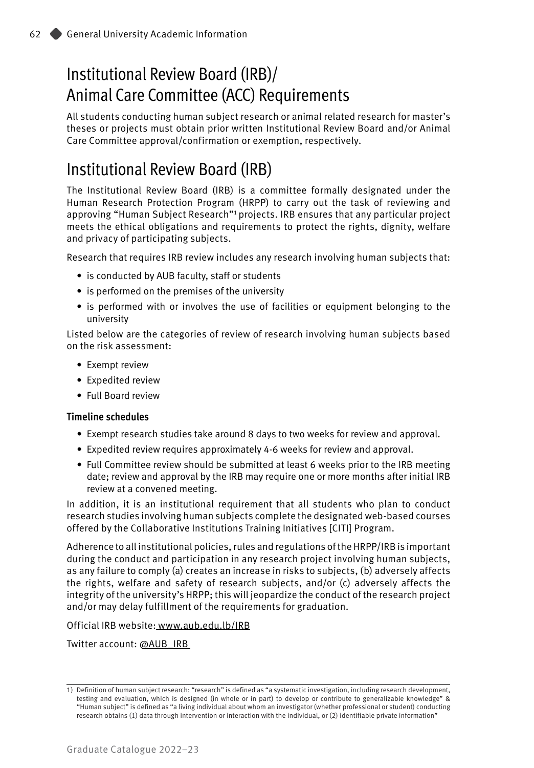### Institutional Review Board (IRB)/ Animal Care Committee (ACC) Requirements

All students conducting human subject research or animal related research for master's theses or projects must obtain prior written Institutional Review Board and/or Animal Care Committee approval/confirmation or exemption, respectively.

### Institutional Review Board (IRB)

The Institutional Review Board (IRB) is a committee formally designated under the Human Research Protection Program (HRPP) to carry out the task of reviewing and approving "Human Subject Research"1 projects. IRB ensures that any particular project meets the ethical obligations and requirements to protect the rights, dignity, welfare and privacy of participating subjects.

Research that requires IRB review includes any research involving human subjects that:

- is conducted by AUB faculty, staff or students
- is performed on the premises of the university
- is performed with or involves the use of facilities or equipment belonging to the university

Listed below are the categories of review of research involving human subjects based on the risk assessment:

- Exempt review
- Expedited review
- Full Board review

#### **Timeline schedules**

- Exempt research studies take around 8 days to two weeks for review and approval.
- Expedited review requires approximately 4-6 weeks for review and approval.
- Full Committee review should be submitted at least 6 weeks prior to the IRB meeting date; review and approval by the IRB may require one or more months after initial IRB review at a convened meeting.

In addition, it is an institutional requirement that all students who plan to conduct research studies involving human subjects complete the designated web-based courses offered by the Collaborative Institutions Training Initiatives [CITI] Program.

Adherence to all institutional policies, rules and regulations of the HRPP/IRB is important during the conduct and participation in any research project involving human subjects, as any failure to comply (a) creates an increase in risks to subjects, (b) adversely affects the rights, welfare and safety of research subjects, and/or (c) adversely affects the integrity of the university's HRPP; this will jeopardize the conduct of the research project and/or may delay fulfillment of the requirements for graduation.

Official IRB website: <www.aub.edu.lb/IRB>

Twitter account: @AUB\_IRB

<sup>1)</sup> Definition of human subject research: "research" is defined as "a systematic investigation, including research development, testing and evaluation, which is designed (in whole or in part) to develop or contribute to generalizable knowledge" & "Human subject" is defined as "a living individual about whom an investigator (whether professional or student) conducting research obtains (1) data through intervention or interaction with the individual, or (2) identifiable private information"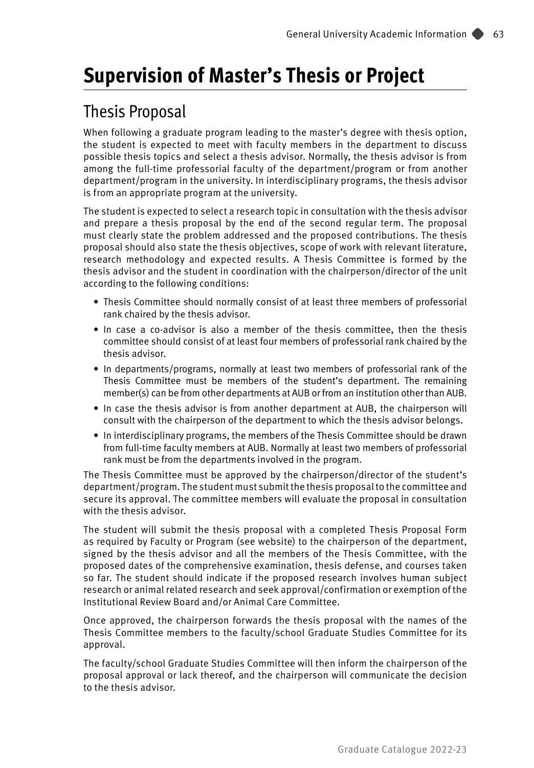### <span id="page-12-0"></span>**Supervision of Master's Thesis or Project**

### Thesis Proposal

When following a graduate program leading to the master's degree with thesis option, the student is expected to meet with faculty members in the department to discuss possible thesis topics and select a thesis advisor. Normally, the thesis advisor is from among the full-time professorial faculty of the department/program or from another department/program in the university. In interdisciplinary programs, the thesis advisor is from an appropriate program at the university.

The student is expected to select a research topic in consultation with the thesis advisor and prepare a thesis proposal by the end of the second regular term. The proposal must clearly state the problem addressed and the proposed contributions. The thesis proposal should also state the thesis objectives, scope of work with relevant literature, research methodology and expected results. A Thesis Committee is formed by the thesis advisor and the student in coordination with the chairperson/director of the unit according to the following conditions:

- Thesis Committee should normally consist of at least three members of professorial rank chaired by the thesis advisor.
- In case a co-advisor is also a member of the thesis committee, then the thesis committee should consist of at least four members of professorial rank chaired by the thesis advisor.
- In departments/programs, normally at least two members of professorial rank of the Thesis Committee must be members of the student's department. The remaining member(s) can be from other departments at AUB or from an institution other than AUB.
- In case the thesis advisor is from another department at AUB, the chairperson will consult with the chairperson of the department to which the thesis advisor belongs.
- In interdisciplinary programs, the members of the Thesis Committee should be drawn from full-time faculty members at AUB. Normally at least two members of professorial rank must be from the departments involved in the program.

The Thesis Committee must be approved by the chairperson/director of the student's department/program. The student must submit the thesis proposal to the committee and secure its approval. The committee members will evaluate the proposal in consultation with the thesis advisor.

The student will submit the thesis proposal with a completed Thesis Proposal Form as required by Faculty or Program (see website) to the chairperson of the department, signed by the thesis advisor and all the members of the Thesis Committee, with the proposed dates of the comprehensive examination, thesis defense, and courses taken so far. The student should indicate if the proposed research involves human subject research or animal related research and seek approval/confirmation or exemption of the Institutional Review Board and/or Animal Care Committee.

Once approved, the chairperson forwards the thesis proposal with the names of the Thesis Committee members to the faculty/school Graduate Studies Committee for its approval.

The faculty/school Graduate Studies Committee will then inform the chairperson of the proposal approval or lack thereof, and the chairperson will communicate the decision to the thesis advisor.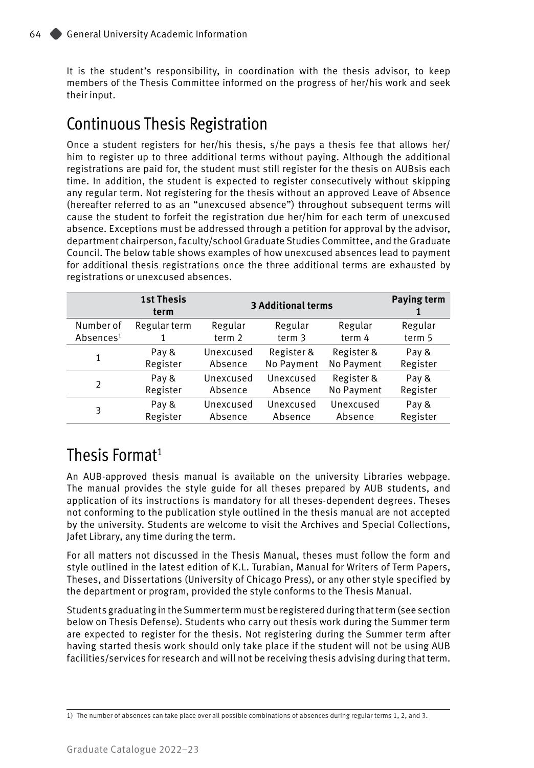It is the student's responsibility, in coordination with the thesis advisor, to keep members of the Thesis Committee informed on the progress of her/his work and seek their input.

#### Continuous Thesis Registration

Once a student registers for her/his thesis, s/he pays a thesis fee that allows her/ him to register up to three additional terms without paying. Although the additional registrations are paid for, the student must still register for the thesis on AUBsis each time. In addition, the student is expected to register consecutively without skipping any regular term. Not registering for the thesis without an approved Leave of Absence (hereafter referred to as an "unexcused absence") throughout subsequent terms will cause the student to forfeit the registration due her/him for each term of unexcused absence. Exceptions must be addressed through a petition for approval by the advisor, department chairperson, faculty/school Graduate Studies Committee, and the Graduate Council. The below table shows examples of how unexcused absences lead to payment for additional thesis registrations once the three additional terms are exhausted by registrations or unexcused absences.

|                       | <b>1st Thesis</b><br>term | <b>3 Additional terms</b> |            |            | Paying term |
|-----------------------|---------------------------|---------------------------|------------|------------|-------------|
| Number of             | Regular term              | Regular                   | Regular    | Regular    | Regular     |
| Absences <sup>1</sup> |                           | term <sub>2</sub>         | term 3     | term 4     | term 5      |
| 1                     | Pay &                     | Unexcused                 | Register & | Register & | Pay &       |
|                       | Register                  | Absence                   | No Payment | No Payment | Register    |
| $\overline{2}$        | Pay &                     | Unexcused                 | Unexcused  | Register & | Pay &       |
|                       | Register                  | Absence                   | Absence    | No Payment | Register    |
| 3                     | Pay &                     | Unexcused                 | Unexcused  | Unexcused  | Pay &       |
|                       | Register                  | Absence                   | Absence    | Absence    | Register    |

### Thesis Format<sup>1</sup>

An AUB-approved thesis manual is available on the university Libraries webpage. The manual provides the style guide for all theses prepared by AUB students, and application of its instructions is mandatory for all theses-dependent degrees. Theses not conforming to the publication style outlined in the thesis manual are not accepted by the university. Students are welcome to visit the Archives and Special Collections, Jafet Library, any time during the term.

For all matters not discussed in the Thesis Manual, theses must follow the form and style outlined in the latest edition of K.L. Turabian, Manual for Writers of Term Papers, Theses, and Dissertations (University of Chicago Press), or any other style specified by the department or program, provided the style conforms to the Thesis Manual.

Students graduating in the Summer term must be registered during that term (see section below on Thesis Defense). Students who carry out thesis work during the Summer term are expected to register for the thesis. Not registering during the Summer term after having started thesis work should only take place if the student will not be using AUB facilities/services for research and will not be receiving thesis advising during that term.

<sup>1)</sup> The number of absences can take place over all possible combinations of absences during regular terms 1, 2, and 3.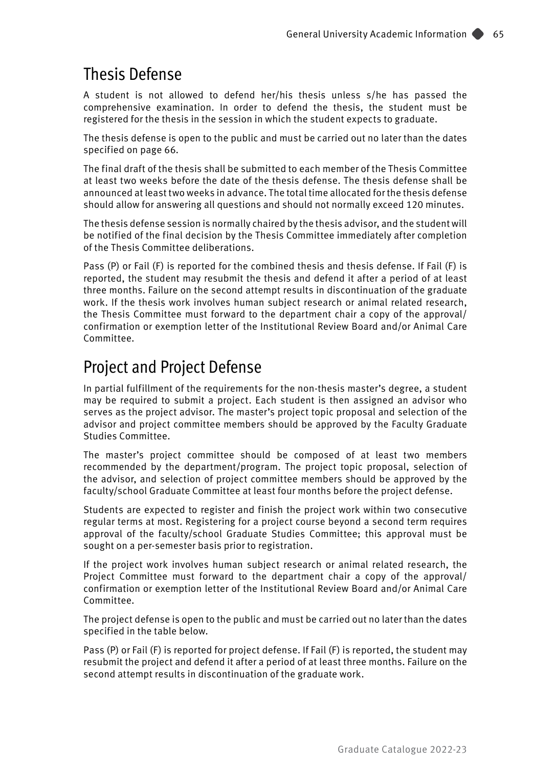#### Thesis Defense

A student is not allowed to defend her/his thesis unless s/he has passed the comprehensive examination. In order to defend the thesis, the student must be registered for the thesis in the session in which the student expects to graduate.

The thesis defense is open to the public and must be carried out no later than the dates specified on page [66](#page-15-0).

The final draft of the thesis shall be submitted to each member of the Thesis Committee at least two weeks before the date of the thesis defense. The thesis defense shall be announced at least two weeks in advance. The total time allocated for the thesis defense should allow for answering all questions and should not normally exceed 120 minutes.

The thesis defense session is normally chaired by the thesis advisor, and the student will be notified of the final decision by the Thesis Committee immediately after completion of the Thesis Committee deliberations.

Pass (P) or Fail (F) is reported for the combined thesis and thesis defense. If Fail (F) is reported, the student may resubmit the thesis and defend it after a period of at least three months. Failure on the second attempt results in discontinuation of the graduate work. If the thesis work involves human subject research or animal related research, the Thesis Committee must forward to the department chair a copy of the approval/ confirmation or exemption letter of the Institutional Review Board and/or Animal Care Committee.

#### Project and Project Defense

In partial fulfillment of the requirements for the non-thesis master's degree, a student may be required to submit a project. Each student is then assigned an advisor who serves as the project advisor. The master's project topic proposal and selection of the advisor and project committee members should be approved by the Faculty Graduate Studies Committee.

The master's project committee should be composed of at least two members recommended by the department/program. The project topic proposal, selection of the advisor, and selection of project committee members should be approved by the faculty/school Graduate Committee at least four months before the project defense.

Students are expected to register and finish the project work within two consecutive regular terms at most. Registering for a project course beyond a second term requires approval of the faculty/school Graduate Studies Committee; this approval must be sought on a per-semester basis prior to registration.

If the project work involves human subject research or animal related research, the Project Committee must forward to the department chair a copy of the approval/ confirmation or exemption letter of the Institutional Review Board and/or Animal Care Committee.

The project defense is open to the public and must be carried out no later than the dates specified in the table below.

Pass (P) or Fail (F) is reported for project defense. If Fail (F) is reported, the student may resubmit the project and defend it after a period of at least three months. Failure on the second attempt results in discontinuation of the graduate work.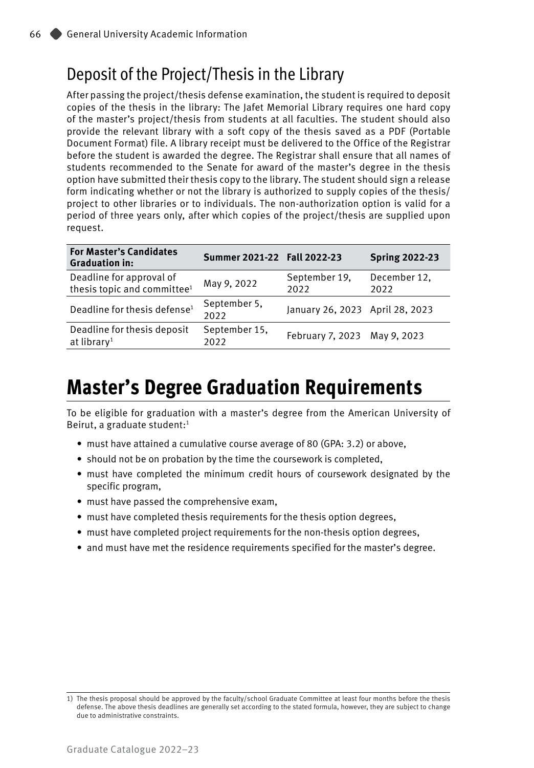#### <span id="page-15-0"></span>Deposit of the Project/Thesis in the Library

After passing the project/thesis defense examination, the student is required to deposit copies of the thesis in the library: The Jafet Memorial Library requires one hard copy of the master's project/thesis from students at all faculties. The student should also provide the relevant library with a soft copy of the thesis saved as a PDF (Portable Document Format) file. A library receipt must be delivered to the Office of the Registrar before the student is awarded the degree. The Registrar shall ensure that all names of students recommended to the Senate for award of the master's degree in the thesis option have submitted their thesis copy to the library. The student should sign a release form indicating whether or not the library is authorized to supply copies of the thesis/ project to other libraries or to individuals. The non-authorization option is valid for a period of three years only, after which copies of the project/thesis are supplied upon request.

| <b>For Master's Candidates</b><br><b>Graduation in:</b>             | Summer 2021-22 Fall 2022-23 |                                 | <b>Spring 2022-23</b> |
|---------------------------------------------------------------------|-----------------------------|---------------------------------|-----------------------|
| Deadline for approval of<br>thesis topic and committee <sup>1</sup> | May 9, 2022                 | September 19,<br>2022           | December 12.<br>2022  |
| Deadline for thesis defense <sup>1</sup>                            | September 5,<br>2022        | January 26, 2023 April 28, 2023 |                       |
| Deadline for thesis deposit<br>at library <sup>1</sup>              | September 15,<br>2022       | February 7, 2023 May 9, 2023    |                       |

### **Master's Degree Graduation Requirements**

To be eligible for graduation with a master's degree from the American University of Beirut, a graduate student:1

- must have attained a cumulative course average of 80 (GPA: 3.2) or above,
- should not be on probation by the time the coursework is completed,
- must have completed the minimum credit hours of coursework designated by the specific program,
- must have passed the comprehensive exam,
- must have completed thesis requirements for the thesis option degrees,
- must have completed project requirements for the non-thesis option degrees,
- and must have met the residence requirements specified for the master's degree.

<sup>1)</sup> The thesis proposal should be approved by the faculty/school Graduate Committee at least four months before the thesis defense. The above thesis deadlines are generally set according to the stated formula, however, they are subject to change due to administrative constraints.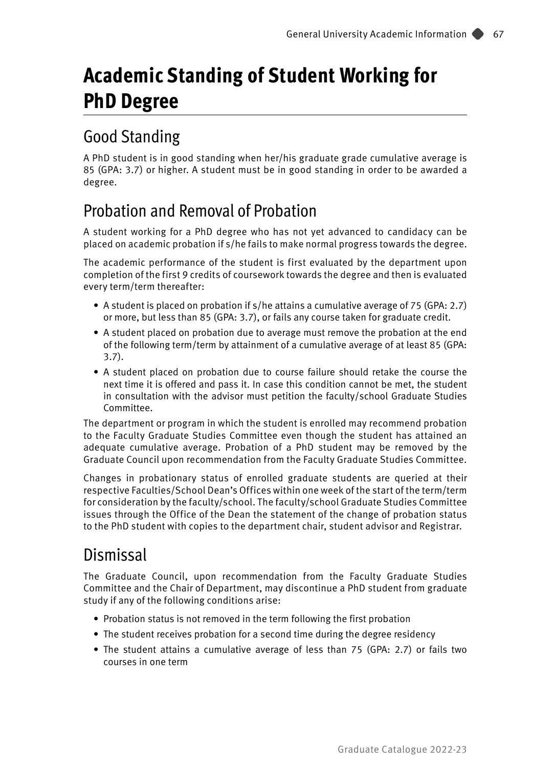### **Academic Standing of Student Working for PhD Degree**

#### Good Standing

A PhD student is in good standing when her/his graduate grade cumulative average is 85 (GPA: 3.7) or higher. A student must be in good standing in order to be awarded a degree.

#### Probation and Removal of Probation

A student working for a PhD degree who has not yet advanced to candidacy can be placed on academic probation if s/he fails to make normal progress towards the degree.

The academic performance of the student is first evaluated by the department upon completion of the first 9 credits of coursework towards the degree and then is evaluated every term/term thereafter:

- A student is placed on probation if s/he attains a cumulative average of 75 (GPA: 2.7) or more, but less than 85 (GPA: 3.7), or fails any course taken for graduate credit.
- A student placed on probation due to average must remove the probation at the end of the following term/term by attainment of a cumulative average of at least 85 (GPA: 3.7).
- A student placed on probation due to course failure should retake the course the next time it is offered and pass it. In case this condition cannot be met, the student in consultation with the advisor must petition the faculty/school Graduate Studies Committee.

The department or program in which the student is enrolled may recommend probation to the Faculty Graduate Studies Committee even though the student has attained an adequate cumulative average. Probation of a PhD student may be removed by the Graduate Council upon recommendation from the Faculty Graduate Studies Committee.

Changes in probationary status of enrolled graduate students are queried at their respective Faculties/School Dean's Offices within one week of the start of the term/term for consideration by the faculty/school. The faculty/school Graduate Studies Committee issues through the Office of the Dean the statement of the change of probation status to the PhD student with copies to the department chair, student advisor and Registrar.

#### Dismissal

The Graduate Council, upon recommendation from the Faculty Graduate Studies Committee and the Chair of Department, may discontinue a PhD student from graduate study if any of the following conditions arise:

- Probation status is not removed in the term following the first probation
- The student receives probation for a second time during the degree residency
- The student attains a cumulative average of less than 75 (GPA: 2.7) or fails two courses in one term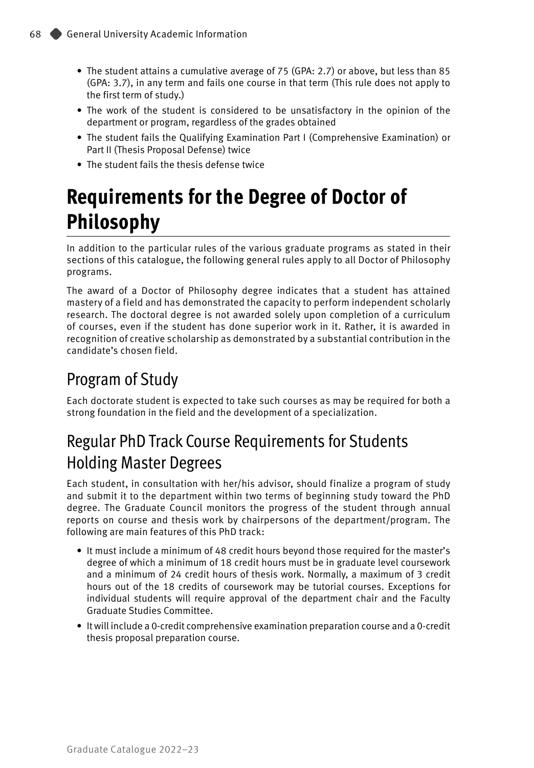- The student attains a cumulative average of 75 (GPA: 2.7) or above, but less than 85 (GPA: 3.7), in any term and fails one course in that term (This rule does not apply to the first term of study.)
- The work of the student is considered to be unsatisfactory in the opinion of the department or program, regardless of the grades obtained
- The student fails the Qualifying Examination Part I (Comprehensive Examination) or Part II (Thesis Proposal Defense) twice
- The student fails the thesis defense twice

### **Requirements for the Degree of Doctor of Philosophy**

In addition to the particular rules of the various graduate programs as stated in their sections of this catalogue, the following general rules apply to all Doctor of Philosophy programs.

The award of a Doctor of Philosophy degree indicates that a student has attained mastery of a field and has demonstrated the capacity to perform independent scholarly research. The doctoral degree is not awarded solely upon completion of a curriculum of courses, even if the student has done superior work in it. Rather, it is awarded in recognition of creative scholarship as demonstrated by a substantial contribution in the candidate's chosen field.

### Program of Study

Each doctorate student is expected to take such courses as may be required for both a strong foundation in the field and the development of a specialization.

### Regular PhD Track Course Requirements for Students Holding Master Degrees

Each student, in consultation with her/his advisor, should finalize a program of study and submit it to the department within two terms of beginning study toward the PhD degree. The Graduate Council monitors the progress of the student through annual reports on course and thesis work by chairpersons of the department/program. The following are main features of this PhD track:

- It must include a minimum of 48 credit hours beyond those required for the master's degree of which a minimum of 18 credit hours must be in graduate level coursework and a minimum of 24 credit hours of thesis work. Normally, a maximum of 3 credit hours out of the 18 credits of coursework may be tutorial courses. Exceptions for individual students will require approval of the department chair and the Faculty Graduate Studies Committee.
- It will include a 0-credit comprehensive examination preparation course and a 0-credit thesis proposal preparation course.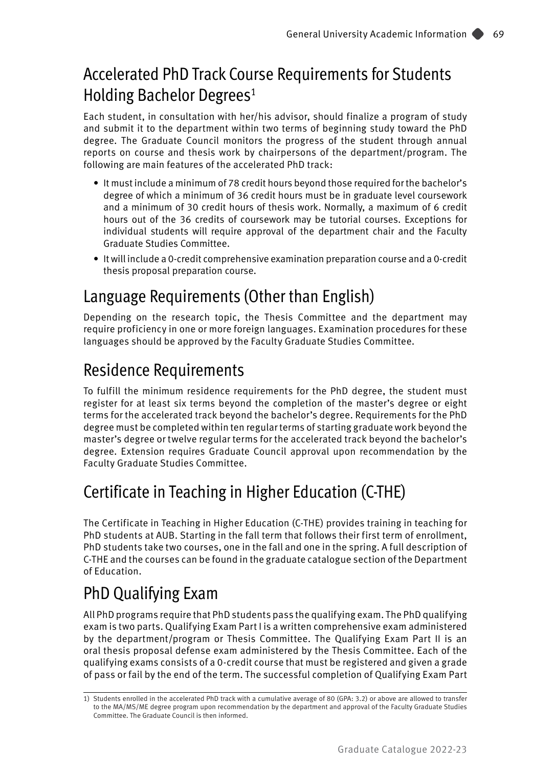### Accelerated PhD Track Course Requirements for Students Holding Bachelor Degrees<sup>1</sup>

Each student, in consultation with her/his advisor, should finalize a program of study and submit it to the department within two terms of beginning study toward the PhD degree. The Graduate Council monitors the progress of the student through annual reports on course and thesis work by chairpersons of the department/program. The following are main features of the accelerated PhD track:

- It must include a minimum of 78 credit hours beyond those required for the bachelor's degree of which a minimum of 36 credit hours must be in graduate level coursework and a minimum of 30 credit hours of thesis work. Normally, a maximum of 6 credit hours out of the 36 credits of coursework may be tutorial courses. Exceptions for individual students will require approval of the department chair and the Faculty Graduate Studies Committee.
- It will include a 0-credit comprehensive examination preparation course and a 0-credit thesis proposal preparation course.

### Language Requirements (Other than English)

Depending on the research topic, the Thesis Committee and the department may require proficiency in one or more foreign languages. Examination procedures for these languages should be approved by the Faculty Graduate Studies Committee.

#### Residence Requirements

To fulfill the minimum residence requirements for the PhD degree, the student must register for at least six terms beyond the completion of the master's degree or eight terms for the accelerated track beyond the bachelor's degree. Requirements for the PhD degree must be completed within ten regular terms of starting graduate work beyond the master's degree or twelve regular terms for the accelerated track beyond the bachelor's degree. Extension requires Graduate Council approval upon recommendation by the Faculty Graduate Studies Committee.

### Certificate in Teaching in Higher Education (C-THE)

The Certificate in Teaching in Higher Education (C-THE) provides training in teaching for PhD students at AUB. Starting in the fall term that follows their first term of enrollment, PhD students take two courses, one in the fall and one in the spring. A full description of C-THE and the courses can be found in the graduate catalogue section of the Department of Education.

### PhD Qualifying Exam

All PhD programs require that PhD students pass the qualifying exam. The PhD qualifying exam is two parts. Qualifying Exam Part I is a written comprehensive exam administered by the department/program or Thesis Committee. The Qualifying Exam Part II is an oral thesis proposal defense exam administered by the Thesis Committee. Each of the qualifying exams consists of a 0-credit course that must be registered and given a grade of pass or fail by the end of the term. The successful completion of Qualifying Exam Part

Graduate Catalogue 2022-23

<sup>1)</sup> Students enrolled in the accelerated PhD track with a cumulative average of 80 (GPA: 3.2) or above are allowed to transfer to the MA/MS/ME degree program upon recommendation by the department and approval of the Faculty Graduate Studies Committee. The Graduate Council is then informed.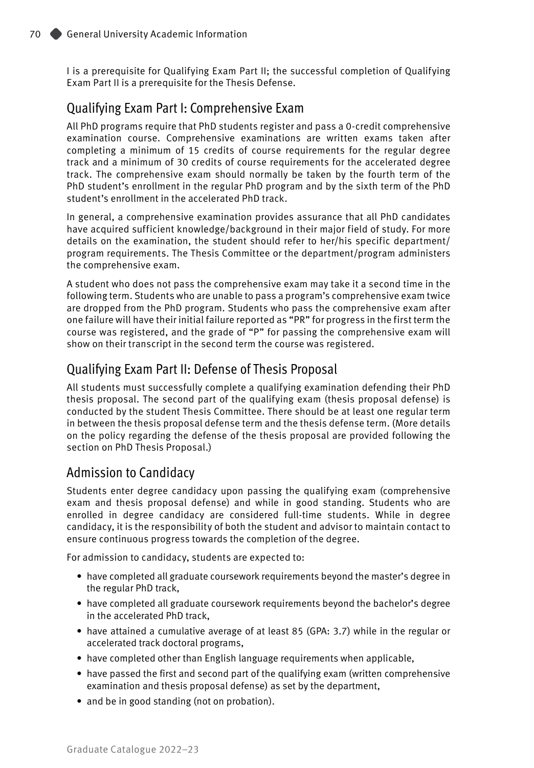I is a prerequisite for Qualifying Exam Part II; the successful completion of Qualifying Exam Part II is a prerequisite for the Thesis Defense.

#### Qualifying Exam Part I: Comprehensive Exam

All PhD programs require that PhD students register and pass a 0-credit comprehensive examination course. Comprehensive examinations are written exams taken after completing a minimum of 15 credits of course requirements for the regular degree track and a minimum of 30 credits of course requirements for the accelerated degree track. The comprehensive exam should normally be taken by the fourth term of the PhD student's enrollment in the regular PhD program and by the sixth term of the PhD student's enrollment in the accelerated PhD track.

In general, a comprehensive examination provides assurance that all PhD candidates have acquired sufficient knowledge/background in their major field of study. For more details on the examination, the student should refer to her/his specific department/ program requirements. The Thesis Committee or the department/program administers the comprehensive exam.

A student who does not pass the comprehensive exam may take it a second time in the following term. Students who are unable to pass a program's comprehensive exam twice are dropped from the PhD program. Students who pass the comprehensive exam after one failure will have their initial failure reported as "PR" for progress in the first term the course was registered, and the grade of "P" for passing the comprehensive exam will show on their transcript in the second term the course was registered.

#### Qualifying Exam Part II: Defense of Thesis Proposal

All students must successfully complete a qualifying examination defending their PhD thesis proposal. The second part of the qualifying exam (thesis proposal defense) is conducted by the student Thesis Committee. There should be at least one regular term in between the thesis proposal defense term and the thesis defense term. (More details on the policy regarding the defense of the thesis proposal are provided following the section on PhD Thesis Proposal.)

#### Admission to Candidacy

Students enter degree candidacy upon passing the qualifying exam (comprehensive exam and thesis proposal defense) and while in good standing. Students who are enrolled in degree candidacy are considered full-time students. While in degree candidacy, it is the responsibility of both the student and advisor to maintain contact to ensure continuous progress towards the completion of the degree.

For admission to candidacy, students are expected to:

- have completed all graduate coursework requirements beyond the master's degree in the regular PhD track,
- have completed all graduate coursework requirements beyond the bachelor's degree in the accelerated PhD track,
- have attained a cumulative average of at least 85 (GPA: 3.7) while in the regular or accelerated track doctoral programs,
- have completed other than English language requirements when applicable,
- have passed the first and second part of the qualifying exam (written comprehensive examination and thesis proposal defense) as set by the department,
- and be in good standing (not on probation).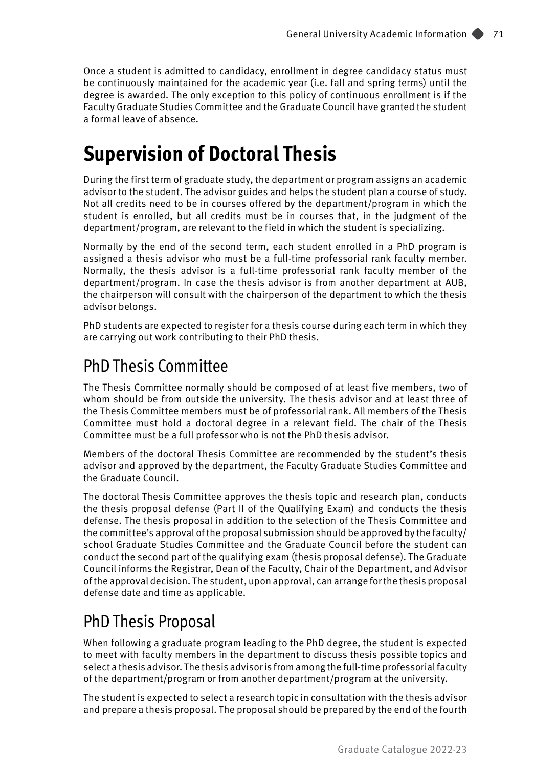Once a student is admitted to candidacy, enrollment in degree candidacy status must be continuously maintained for the academic year (i.e. fall and spring terms) until the degree is awarded. The only exception to this policy of continuous enrollment is if the Faculty Graduate Studies Committee and the Graduate Council have granted the student a formal leave of absence.

### <span id="page-20-0"></span>**Supervision of Doctoral Thesis**

During the first term of graduate study, the department or program assigns an academic advisor to the student. The advisor guides and helps the student plan a course of study. Not all credits need to be in courses offered by the department/program in which the student is enrolled, but all credits must be in courses that, in the judgment of the department/program, are relevant to the field in which the student is specializing.

Normally by the end of the second term, each student enrolled in a PhD program is assigned a thesis advisor who must be a full-time professorial rank faculty member. Normally, the thesis advisor is a full-time professorial rank faculty member of the department/program. In case the thesis advisor is from another department at AUB, the chairperson will consult with the chairperson of the department to which the thesis advisor belongs.

PhD students are expected to register for a thesis course during each term in which they are carrying out work contributing to their PhD thesis.

#### PhD Thesis Committee

The Thesis Committee normally should be composed of at least five members, two of whom should be from outside the university. The thesis advisor and at least three of the Thesis Committee members must be of professorial rank. All members of the Thesis Committee must hold a doctoral degree in a relevant field. The chair of the Thesis Committee must be a full professor who is not the PhD thesis advisor.

Members of the doctoral Thesis Committee are recommended by the student's thesis advisor and approved by the department, the Faculty Graduate Studies Committee and the Graduate Council.

The doctoral Thesis Committee approves the thesis topic and research plan, conducts the thesis proposal defense (Part II of the Qualifying Exam) and conducts the thesis defense. The thesis proposal in addition to the selection of the Thesis Committee and the committee's approval of the proposal submission should be approved by the faculty/ school Graduate Studies Committee and the Graduate Council before the student can conduct the second part of the qualifying exam (thesis proposal defense). The Graduate Council informs the Registrar, Dean of the Faculty, Chair of the Department, and Advisor of the approval decision. The student, upon approval, can arrange for the thesis proposal defense date and time as applicable.

### PhD Thesis Proposal

When following a graduate program leading to the PhD degree, the student is expected to meet with faculty members in the department to discuss thesis possible topics and select a thesis advisor. The thesis advisor is from among the full-time professorial faculty of the department/program or from another department/program at the university.

The student is expected to select a research topic in consultation with the thesis advisor and prepare a thesis proposal. The proposal should be prepared by the end of the fourth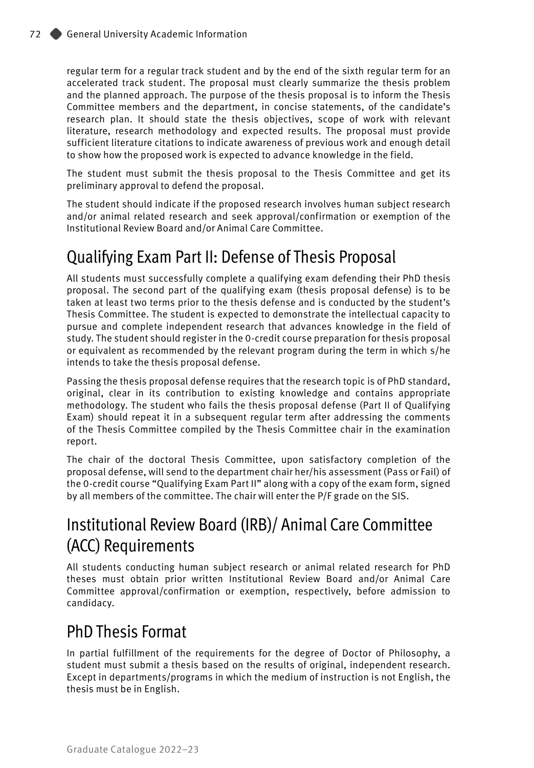regular term for a regular track student and by the end of the sixth regular term for an accelerated track student. The proposal must clearly summarize the thesis problem and the planned approach. The purpose of the thesis proposal is to inform the Thesis Committee members and the department, in concise statements, of the candidate's research plan. It should state the thesis objectives, scope of work with relevant literature, research methodology and expected results. The proposal must provide sufficient literature citations to indicate awareness of previous work and enough detail to show how the proposed work is expected to advance knowledge in the field.

The student must submit the thesis proposal to the Thesis Committee and get its preliminary approval to defend the proposal.

The student should indicate if the proposed research involves human subject research and/or animal related research and seek approval/confirmation or exemption of the Institutional Review Board and/or Animal Care Committee.

#### Qualifying Exam Part II: Defense of Thesis Proposal

All students must successfully complete a qualifying exam defending their PhD thesis proposal. The second part of the qualifying exam (thesis proposal defense) is to be taken at least two terms prior to the thesis defense and is conducted by the student's Thesis Committee. The student is expected to demonstrate the intellectual capacity to pursue and complete independent research that advances knowledge in the field of study. The student should register in the 0-credit course preparation for thesis proposal or equivalent as recommended by the relevant program during the term in which s/he intends to take the thesis proposal defense.

Passing the thesis proposal defense requires that the research topic is of PhD standard, original, clear in its contribution to existing knowledge and contains appropriate methodology. The student who fails the thesis proposal defense (Part II of Qualifying Exam) should repeat it in a subsequent regular term after addressing the comments of the Thesis Committee compiled by the Thesis Committee chair in the examination report.

The chair of the doctoral Thesis Committee, upon satisfactory completion of the proposal defense, will send to the department chair her/his assessment (Pass or Fail) of the 0-credit course "Qualifying Exam Part II" along with a copy of the exam form, signed by all members of the committee. The chair will enter the P/F grade on the SIS.

#### Institutional Review Board (IRB)/ Animal Care Committee (ACC) Requirements

All students conducting human subject research or animal related research for PhD theses must obtain prior written Institutional Review Board and/or Animal Care Committee approval/confirmation or exemption, respectively, before admission to candidacy.

#### PhD Thesis Format

In partial fulfillment of the requirements for the degree of Doctor of Philosophy, a student must submit a thesis based on the results of original, independent research. Except in departments/programs in which the medium of instruction is not English, the thesis must be in English.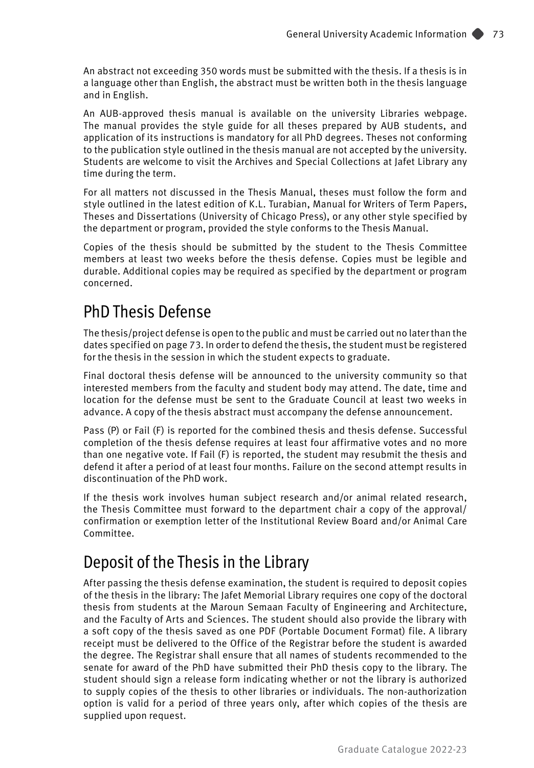An abstract not exceeding 350 words must be submitted with the thesis. If a thesis is in a language other than English, the abstract must be written both in the thesis language and in English.

An AUB-approved thesis manual is available on the university Libraries webpage. The manual provides the style guide for all theses prepared by AUB students, and application of its instructions is mandatory for all PhD degrees. Theses not conforming to the publication style outlined in the thesis manual are not accepted by the university. Students are welcome to visit the Archives and Special Collections at Jafet Library any time during the term.

For all matters not discussed in the Thesis Manual, theses must follow the form and style outlined in the latest edition of K.L. Turabian, Manual for Writers of Term Papers, Theses and Dissertations (University of Chicago Press), or any other style specified by the department or program, provided the style conforms to the Thesis Manual.

Copies of the thesis should be submitted by the student to the Thesis Committee members at least two weeks before the thesis defense. Copies must be legible and durable. Additional copies may be required as specified by the department or program concerned.

#### <span id="page-22-0"></span>PhD Thesis Defense

The thesis/project defense is open to the public and must be carried out no later than the dates specified on page [73.](#page-22-0) In order to defend the thesis, the student must be registered for the thesis in the session in which the student expects to graduate.

Final doctoral thesis defense will be announced to the university community so that interested members from the faculty and student body may attend. The date, time and location for the defense must be sent to the Graduate Council at least two weeks in advance. A copy of the thesis abstract must accompany the defense announcement.

Pass (P) or Fail (F) is reported for the combined thesis and thesis defense. Successful completion of the thesis defense requires at least four affirmative votes and no more than one negative vote. If Fail (F) is reported, the student may resubmit the thesis and defend it after a period of at least four months. Failure on the second attempt results in discontinuation of the PhD work.

If the thesis work involves human subject research and/or animal related research, the Thesis Committee must forward to the department chair a copy of the approval/ confirmation or exemption letter of the Institutional Review Board and/or Animal Care Committee.

#### Deposit of the Thesis in the Library

After passing the thesis defense examination, the student is required to deposit copies of the thesis in the library: The Jafet Memorial Library requires one copy of the doctoral thesis from students at the Maroun Semaan Faculty of Engineering and Architecture, and the Faculty of Arts and Sciences. The student should also provide the library with a soft copy of the thesis saved as one PDF (Portable Document Format) file. A library receipt must be delivered to the Office of the Registrar before the student is awarded the degree. The Registrar shall ensure that all names of students recommended to the senate for award of the PhD have submitted their PhD thesis copy to the library. The student should sign a release form indicating whether or not the library is authorized to supply copies of the thesis to other libraries or individuals. The non-authorization option is valid for a period of three years only, after which copies of the thesis are supplied upon request.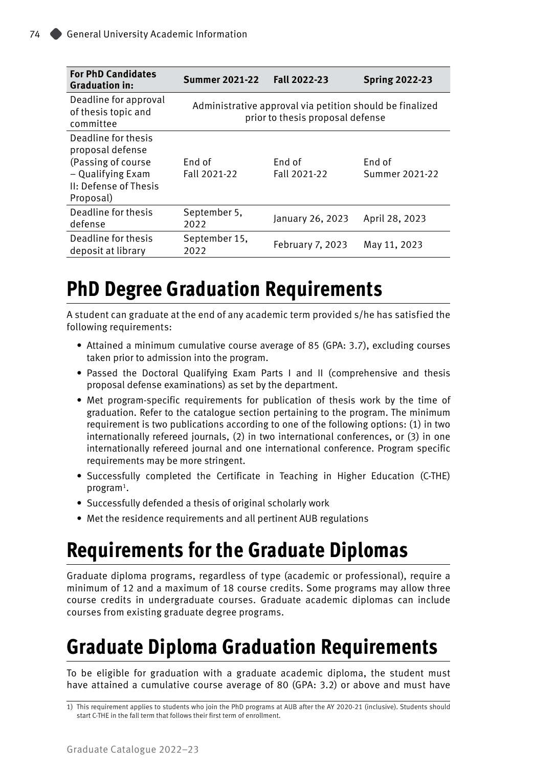| <b>For PhD Candidates</b><br><b>Graduation in:</b>                                                                        | <b>Summer 2021-22</b>                                                                        | Fall 2022-23           | <b>Spring 2022-23</b>    |  |
|---------------------------------------------------------------------------------------------------------------------------|----------------------------------------------------------------------------------------------|------------------------|--------------------------|--|
| Deadline for approval<br>of thesis topic and<br>committee                                                                 | Administrative approval via petition should be finalized<br>prior to thesis proposal defense |                        |                          |  |
| Deadline for thesis<br>proposal defense<br>(Passing of course)<br>- Qualifying Exam<br>II: Defense of Thesis<br>Proposal) | End of<br>Fall 2021-22                                                                       | Fnd of<br>Fall 2021-22 | End of<br>Summer 2021-22 |  |
| Deadline for thesis<br>defense                                                                                            | September 5.<br>2022                                                                         | January 26, 2023       | April 28, 2023           |  |
| Deadline for thesis<br>deposit at library                                                                                 | September 15.<br>2022                                                                        | February 7, 2023       | May 11, 2023             |  |

### **PhD Degree Graduation Requirements**

A student can graduate at the end of any academic term provided s/he has satisfied the following requirements:

- Attained a minimum cumulative course average of 85 (GPA: 3.7), excluding courses taken prior to admission into the program.
- Passed the Doctoral Qualifying Exam Parts I and II (comprehensive and thesis proposal defense examinations) as set by the department.
- Met program-specific requirements for publication of thesis work by the time of graduation. Refer to the catalogue section pertaining to the program. The minimum requirement is two publications according to one of the following options: (1) in two internationally refereed journals, (2) in two international conferences, or (3) in one internationally refereed journal and one international conference. Program specific requirements may be more stringent.
- Successfully completed the Certificate in Teaching in Higher Education (C-THE) program<sup>1</sup>.
- Successfully defended a thesis of original scholarly work
- Met the residence requirements and all pertinent AUB regulations

### **Requirements for the Graduate Diplomas**

Graduate diploma programs, regardless of type (academic or professional), require a minimum of 12 and a maximum of 18 course credits. Some programs may allow three course credits in undergraduate courses. Graduate academic diplomas can include courses from existing graduate degree programs.

### **Graduate Diploma Graduation Requirements**

To be eligible for graduation with a graduate academic diploma, the student must have attained a cumulative course average of 80 (GPA: 3.2) or above and must have

<sup>1)</sup> This requirement applies to students who join the PhD programs at AUB after the AY 2020-21 (inclusive). Students should start C-THE in the fall term that follows their first term of enrollment.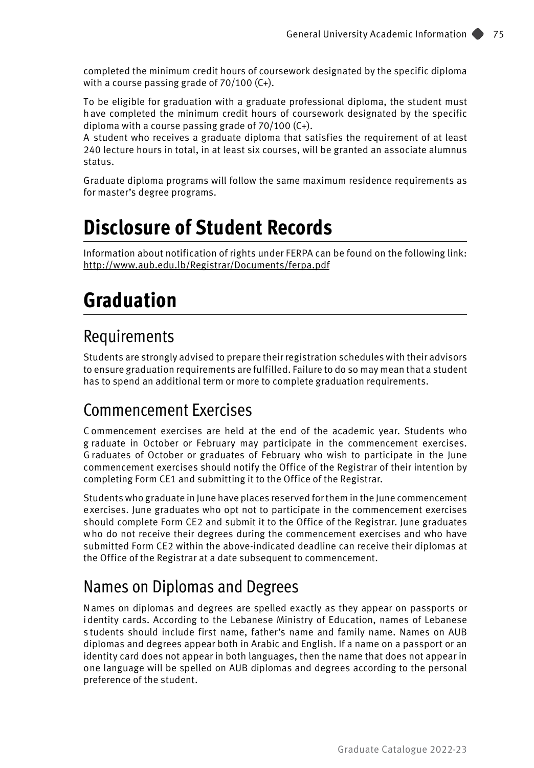completed the minimum credit hours of coursework designated by the specific diploma with a course passing grade of 70/100 (C+).

To be eligible for graduation with a graduate professional diploma, the student must h ave completed the minimum credit hours of coursework designated by the specific diploma with a course passing grade of 70/100 (C+).

A student who receives a graduate diploma that satisfies the requirement of at least 240 lecture hours in total, in at least six courses, will be granted an associate alumnus status.

Graduate diploma programs will follow the same maximum residence requirements as for master's degree programs.

### **Disclosure of Student Records**

Information about notification of rights under FERPA can be found on the following link: <http://www.aub.edu.lb/Registrar/Documents/ferpa.pdf>

### **Graduation**

#### Requirements

Students are strongly advised to prepare their registration schedules with their advisors to ensure graduation requirements are fulfilled. Failure to do so may mean that a student has to spend an additional term or more to complete graduation requirements.

#### Commencement Exercises

C ommencement exercises are held at the end of the academic year. Students who g raduate in October or February may participate in the commencement exercises. G raduates of October or graduates of February who wish to participate in the June commencement exercises should notify the Office of the Registrar of their intention by completing Form CE1 and submitting it to the Office of the Registrar.

Students who graduate in June have places reserved for them in the June commencement e xercises. June graduates who opt not to participate in the commencement exercises should complete Form CE2 and submit it to the Office of the Registrar. June graduates w ho do not receive their degrees during the commencement exercises and who have submitted Form CE2 within the above-indicated deadline can receive their diplomas at the Office of the Registrar at a date subsequent to commencement.

#### Names on Diplomas and Degrees

N ames on diplomas and degrees are spelled exactly as they appear on passports or i dentity cards. According to the Lebanese Ministry of Education, names of Lebanese s tudents should include first name, father's name and family name. Names on AUB diplomas and degrees appear both in Arabic and English. If a name on a passport or an identity card does not appear in both languages, then the name that does not appear in one language will be spelled on AUB diplomas and degrees according to the personal preference of the student.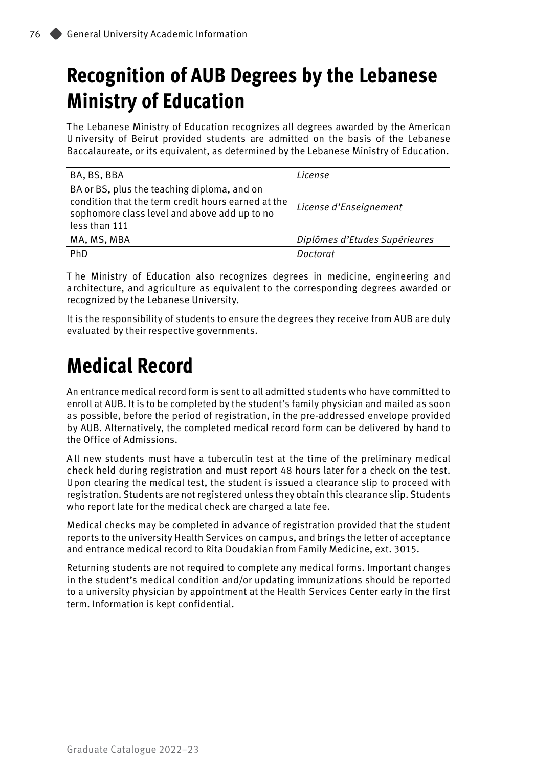### **Recognition of AUB Degrees by the Lebanese Ministry of Education**

T he Lebanese Ministry of Education recognizes all degrees awarded by the American U niversity of Beirut provided students are admitted on the basis of the Lebanese Baccalaureate, or its equivalent, as determined by the Lebanese Ministry of Education.

| BA, BS, BBA                                                                                                                                                        | License                       |
|--------------------------------------------------------------------------------------------------------------------------------------------------------------------|-------------------------------|
| BA or BS, plus the teaching diploma, and on<br>condition that the term credit hours earned at the<br>sophomore class level and above add up to no<br>less than 111 | License d'Enseignement        |
| MA, MS, MBA                                                                                                                                                        | Diplômes d'Etudes Supérieures |
| PhD                                                                                                                                                                | Doctorat                      |

T he Ministry of Education also recognizes degrees in medicine, engineering and a rchitecture, and agriculture as equivalent to the corresponding degrees awarded or recognized by the Lebanese University.

It is the responsibility of students to ensure the degrees they receive from AUB are duly evaluated by their respective governments.

### **Medical Record**

An entrance medical record form is sent to all admitted students who have committed to enroll at AUB. It is to be completed by the student's family physician and mailed as soon as possible, before the period of registration, in the pre-addressed envelope provided by AUB. Alternatively, the completed medical record form can be delivered by hand to the Office of Admissions.

A ll new students must have a tuberculin test at the time of the preliminary medical check held during registration and must report 48 hours later for a check on the test. Upon clearing the medical test, the student is issued a clearance slip to proceed with registration. Students are not registered unless they obtain this clearance slip. Students who report late for the medical check are charged a late fee.

Medical checks may be completed in advance of registration provided that the student reports to the university Health Services on campus, and brings the letter of acceptance and entrance medical record to Rita Doudakian from Family Medicine, ext. 3015.

Returning students are not required to complete any medical forms. Important changes in the student's medical condition and/or updating immunizations should be reported to a university physician by appointment at the Health Services Center early in the first term. Information is kept confidential.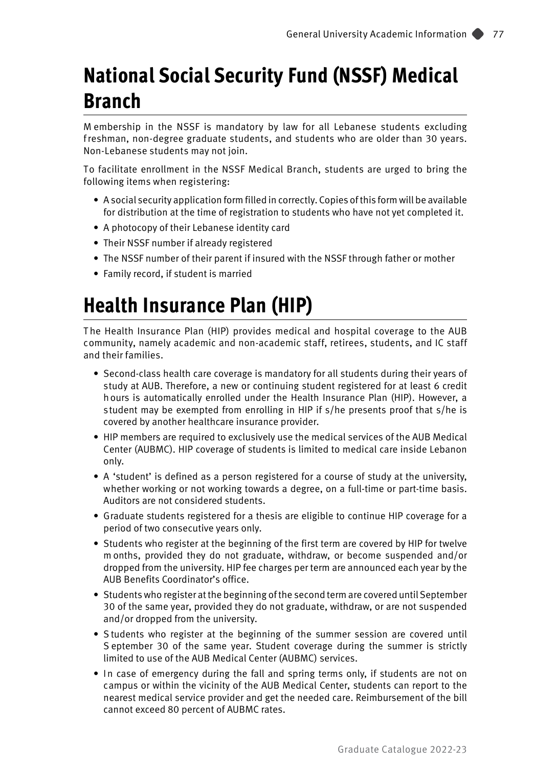### **National Social Security Fund (NSSF) Medical Branch**

M embership in the NSSF is mandatory by law for all Lebanese students excluding f reshman, non-degree graduate students, and students who are older than 30 years. Non-Lebanese students may not join.

To facilitate enrollment in the NSSF Medical Branch, students are urged to bring the following items when registering:

- A social security application form filled in correctly. Copies of this form will be available for distribution at the time of registration to students who have not yet completed it.
- A photocopy of their Lebanese identity card
- Their NSSF number if already registered
- The NSSF number of their parent if insured with the NSSF through father or mother
- Family record, if student is married

### **Health Insurance Plan (HIP)**

T he Health Insurance Plan (HIP) provides medical and hospital coverage to the AUB community, namely academic and non-academic staff, retirees, students, and IC staff and their families.

- Second-class health care coverage is mandatory for all students during their years of study at AUB. Therefore, a new or continuing student registered for at least 6 credit h ours is automatically enrolled under the Health Insurance Plan (HIP). However, a student may be exempted from enrolling in HIP if s/he presents proof that s/he is covered by another healthcare insurance provider.
- HIP members are required to exclusively use the medical services of the AUB Medical Center (AUBMC). HIP coverage of students is limited to medical care inside Lebanon only.
- A 'student' is defined as a person registered for a course of study at the university, whether working or not working towards a degree, on a full-time or part-time basis. Auditors are not considered students.
- Graduate students registered for a thesis are eligible to continue HIP coverage for a period of two consecutive years only.
- Students who register at the beginning of the first term are covered by HIP for twelve m onths, provided they do not graduate, withdraw, or become suspended and/or dropped from the university. HIP fee charges per term are announced each year by the AUB Benefits Coordinator's office.
- Students who register at the beginning of the second term are covered until September 30 of the same year, provided they do not graduate, withdraw, or are not suspended and/or dropped from the university.
- S tudents who register at the beginning of the summer session are covered until S eptember 30 of the same year. Student coverage during the summer is strictly limited to use of the AUB Medical Center (AUBMC) services.
- In case of emergency during the fall and spring terms only, if students are not on campus or within the vicinity of the AUB Medical Center, students can report to the nearest medical service provider and get the needed care. Reimbursement of the bill cannot exceed 80 percent of AUBMC rates.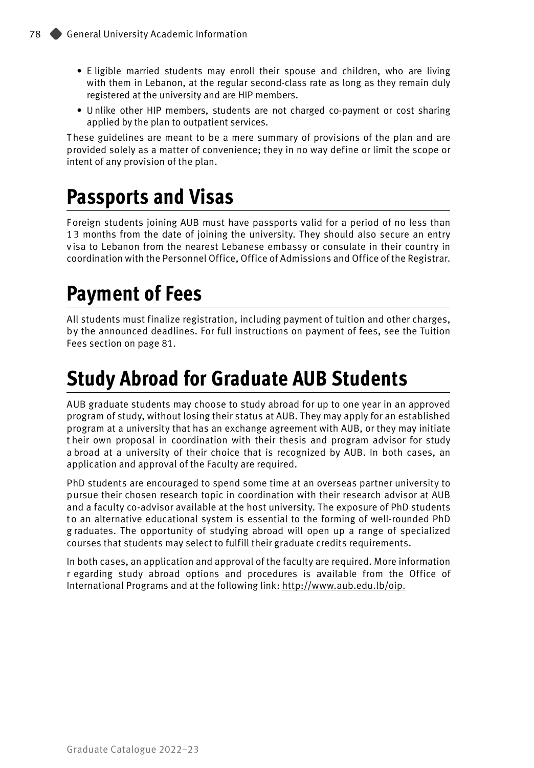- E ligible married students may enroll their spouse and children, who are living with them in Lebanon, at the regular second-class rate as long as they remain duly registered at the university and are HIP members.
- U nlike other HIP members, students are not charged co-payment or cost sharing applied by the plan to outpatient services.

T hese guidelines are meant to be a mere summary of provisions of the plan and are provided solely as a matter of convenience; they in no way define or limit the scope or intent of any provision of the plan.

### **Passports and Visas**

F oreign students joining AUB must have passports valid for a period of no less than 13 months from the date of joining the university. They should also secure an entry v isa to Lebanon from the nearest Lebanese embassy or consulate in their country in coordination with the Personnel Office, Office of Admissions and Office of the Registrar.

### **Payment of Fees**

All students must finalize registration, including payment of tuition and other charges, by the announced deadlines. For full instructions on payment of fees, see the Tuition Fees section on page [81](#page-30-0).

### **Study Abroad for Graduate AUB Students**

AUB graduate students may choose to study abroad for up to one year in an approved program of study, without losing their status at AUB. They may apply for an established program at a university that has an exchange agreement with AUB, or they may initiate t heir own proposal in coordination with their thesis and program advisor for study a broad at a university of their choice that is recognized by AUB. In both cases, an application and approval of the Faculty are required.

PhD students are encouraged to spend some time at an overseas partner university to pursue their chosen research topic in coordination with their research advisor at AUB and a faculty co-advisor available at the host university. The exposure of PhD students t o an alternative educational system is essential to the forming of well-rounded PhD g raduates. The opportunity of studying abroad will open up a range of specialized courses that students may select to fulfill their graduate credits requirements.

In both cases, an application and approval of the faculty are required. More information r egarding study abroad options and procedures is available from the Office of International Programs and at the following link: <http://www.aub.edu.lb/oip>.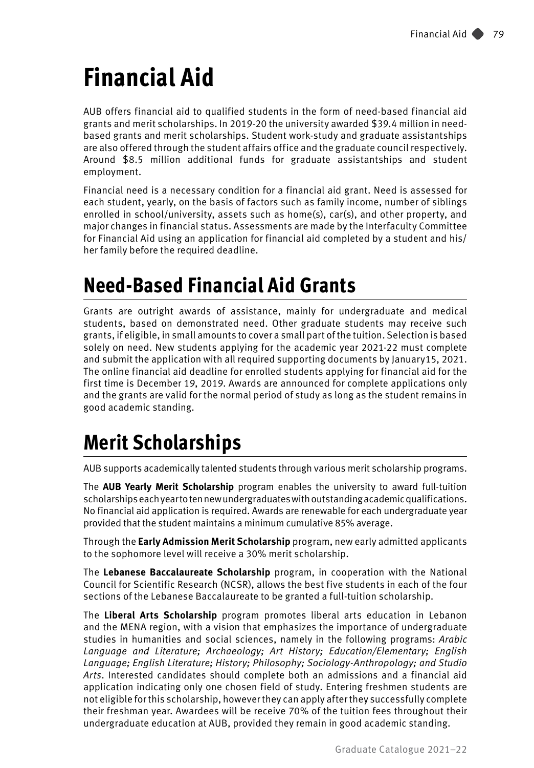# **Financial Aid**

AUB offers financial aid to qualified students in the form of need-based financial aid grants and merit scholarships. In 2019-20 the university awarded \$39.4 million in needbased grants and merit scholarships. Student work-study and graduate assistantships are also offered through the student affairs office and the graduate council respectively. Around \$8.5 million additional funds for graduate assistantships and student employment.

Financial need is a necessary condition for a financial aid grant. Need is assessed for each student, yearly, on the basis of factors such as family income, number of siblings enrolled in school/university, assets such as home(s), car(s), and other property, and major changes in financial status. Assessments are made by the Interfaculty Committee for Financial Aid using an application for financial aid completed by a student and his/ her family before the required deadline.

### **Need-Based Financial Aid Grants**

Grants are outright awards of assistance, mainly for undergraduate and medical students, based on demonstrated need. Other graduate students may receive such grants, if eligible, in small amounts to cover a small part of the tuition. Selection is based solely on need. New students applying for the academic year 2021-22 must complete and submit the application with all required supporting documents by January15, 2021. The online financial aid deadline for enrolled students applying for financial aid for the first time is December 19, 2019. Awards are announced for complete applications only and the grants are valid for the normal period of study as long as the student remains in good academic standing.

### **Merit Scholarships**

AUB supports academically talented students through various merit scholarship programs.

The **AUB Yearly Merit Scholarship** program enables the university to award full-tuition scholarships each year to ten new undergraduates with outstanding academic qualifications. No financial aid application is required. Awards are renewable for each undergraduate year provided that the student maintains a minimum cumulative 85% average.

Through the **Early Admission Merit Scholarship** program, new early admitted applicants to the sophomore level will receive a 30% merit scholarship.

The **Lebanese Baccalaureate Scholarship** program, in cooperation with the National Council for Scientific Research (NCSR), allows the best five students in each of the four sections of the Lebanese Baccalaureate to be granted a full-tuition scholarship.

The **Liberal Arts Scholarship** program promotes liberal arts education in Lebanon and the MENA region, with a vision that emphasizes the importance of undergraduate studies in humanities and social sciences, namely in the following programs: *Arabic Language and Literature; Archaeology; Art History; Education/Elementary; English Language; English Literature; History; Philosophy; Sociology-Anthropology; and Studio Arts*. Interested candidates should complete both an admissions and a financial aid application indicating only one chosen field of study. Entering freshmen students are not eligible for this scholarship, however they can apply after they successfully complete their freshman year. Awardees will be receive 70% of the tuition fees throughout their undergraduate education at AUB, provided they remain in good academic standing.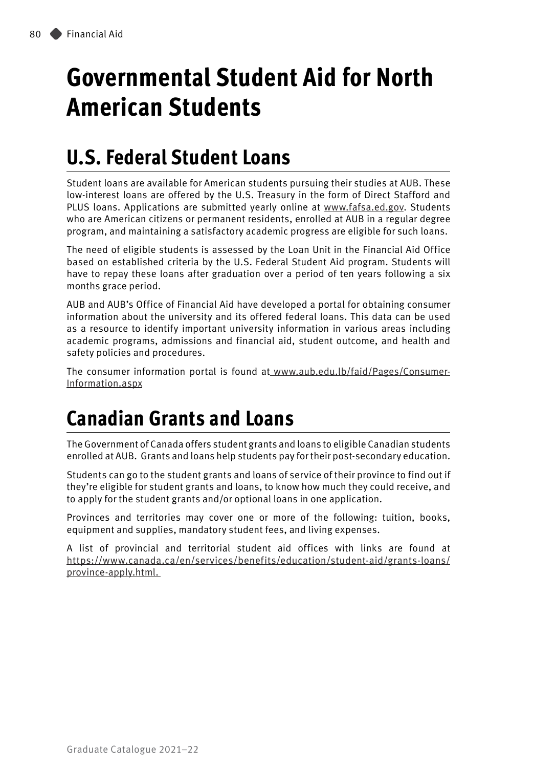# **Governmental Student Aid for North American Students**

## **U.S. Federal Student Loans**

Student loans are available for American students pursuing their studies at AUB. These low-interest loans are offered by the U.S. Treasury in the form of Direct Stafford and PLUS loans. Applications are submitted yearly online at www.fafsa.ed.gov. Students who are American citizens or permanent residents, enrolled at AUB in a regular degree program, and maintaining a satisfactory academic progress are eligible for such loans.

The need of eligible students is assessed by the Loan Unit in the Financial Aid Office based on established criteria by the U.S. Federal Student Aid program. Students will have to repay these loans after graduation over a period of ten years following a six months grace period.

AUB and AUB's Office of Financial Aid have developed a portal for obtaining consumer information about the university and its offered federal loans. This data can be used as a resource to identify important university information in various areas including academic programs, admissions and financial aid, student outcome, and health and safety policies and procedures.

The consumer information portal is found at www.aub.edu.lb/faid/Pages/Consumer-Information.aspx

### **Canadian Grants and Loans**

The Government of Canada offers student grants and loans to eligible Canadian students enrolled at AUB. Grants and loans help students pay for their post-secondary education.

Students can go to the student grants and loans of service of their province to find out if they're eligible for student grants and loans, to know how much they could receive, and to apply for the student grants and/or optional loans in one application.

Provinces and territories may cover one or more of the following: tuition, books, equipment and supplies, mandatory student fees, and living expenses.

A list of provincial and territorial student aid offices with links are found at https://www.canada.ca/en/services/benefits/education/student-aid/grants-loans/ province-apply.html.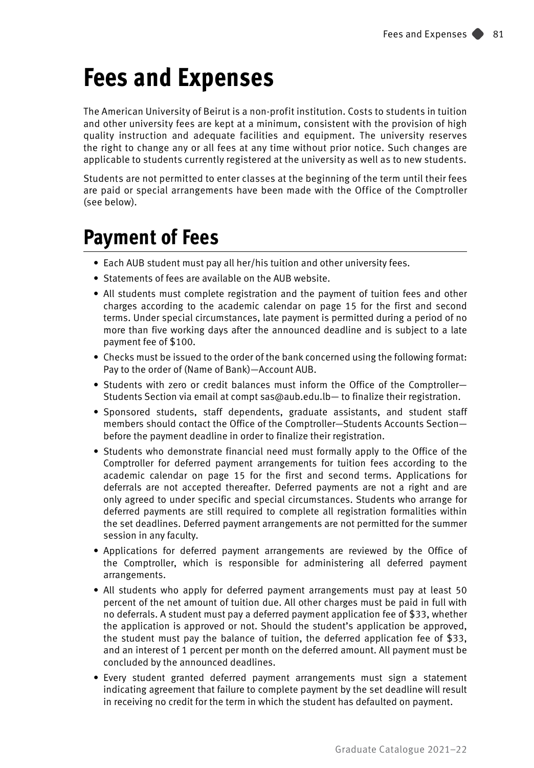# **Fees and Expenses**

The American University of Beirut is a non-profit institution. Costs to students in tuition and other university fees are kept at a minimum, consistent with the provision of high quality instruction and adequate facilities and equipment. The university reserves the right to change any or all fees at any time without prior notice. Such changes are applicable to students currently registered at the university as well as to new students.

Students are not permitted to enter classes at the beginning of the term until their fees are paid or special arrangements have been made with the Office of the Comptroller (see below).

### <span id="page-30-0"></span>**Payment of Fees**

- Each AUB student must pay all her/his tuition and other university fees.
- Statements of fees are available on the AUB website.
- All students must complete registration and the payment of tuition fees and other charges according to the academic calendar on page 15 for the first and second terms. Under special circumstances, late payment is permitted during a period of no more than five working days after the announced deadline and is subject to a late payment fee of \$100.
- Checks must be issued to the order of the bank concerned using the following format: Pay to the order of (Name of Bank)—Account AUB.
- Students with zero or credit balances must inform the Office of the Comptroller— Students Section via email at compt sas@aub.edu.lb— to finalize their registration.
- Sponsored students, staff dependents, graduate assistants, and student staff members should contact the Office of the Comptroller—Students Accounts Section before the payment deadline in order to finalize their registration.
- Students who demonstrate financial need must formally apply to the Office of the Comptroller for deferred payment arrangements for tuition fees according to the academic calendar on page 15 for the first and second terms. Applications for deferrals are not accepted thereafter. Deferred payments are not a right and are only agreed to under specific and special circumstances. Students who arrange for deferred payments are still required to complete all registration formalities within the set deadlines. Deferred payment arrangements are not permitted for the summer session in any faculty.
- Applications for deferred payment arrangements are reviewed by the Office of the Comptroller, which is responsible for administering all deferred payment arrangements.
- All students who apply for deferred payment arrangements must pay at least 50 percent of the net amount of tuition due. All other charges must be paid in full with no deferrals. A student must pay a deferred payment application fee of \$33, whether the application is approved or not. Should the student's application be approved, the student must pay the balance of tuition, the deferred application fee of \$33, and an interest of 1 percent per month on the deferred amount. All payment must be concluded by the announced deadlines.
- Every student granted deferred payment arrangements must sign a statement indicating agreement that failure to complete payment by the set deadline will result in receiving no credit for the term in which the student has defaulted on payment.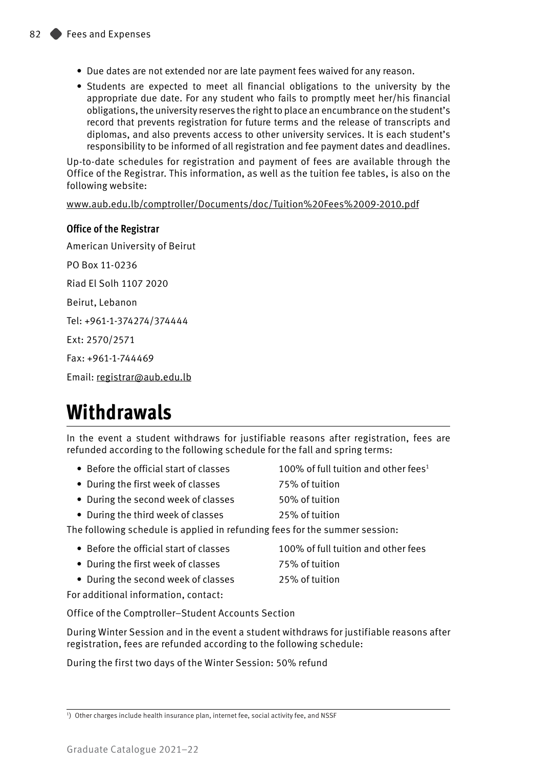- Due dates are not extended nor are late payment fees waived for any reason.
- Students are expected to meet all financial obligations to the university by the appropriate due date. For any student who fails to promptly meet her/his financial obligations, the university reserves the right to place an encumbrance on the student's record that prevents registration for future terms and the release of transcripts and diplomas, and also prevents access to other university services. It is each student's responsibility to be informed of all registration and fee payment dates and deadlines.

Up-to-date schedules for registration and payment of fees are available through the Office of the Registrar. This information, as well as the tuition fee tables, is also on the following website:

#### www.aub.edu.lb/comptroller/Documents/doc/Tuition%20Fees%2009-2010.pdf

#### **Office of the Registrar**

American University of Beirut PO Box 11-0236 Riad El Solh 1107 2020 Beirut, Lebanon Tel: +961-1-374274/374444 Ext: 2570/2571 Fax: +961-1-744469 Email: registrar@aub.edu.lb

### **Withdrawals**

In the event a student withdraws for justifiable reasons after registration, fees are refunded according to the following schedule for the fall and spring terms:

- Before the official start of classes  $100\%$  of full tuition and other fees<sup>1</sup>
- During the first week of classes 75% of tuition
- During the second week of classes 50% of tuition
- During the third week of classes 25% of tuition

The following schedule is applied in refunding fees for the summer session:

|  |  |  |  |  | • Before the official start of classes |
|--|--|--|--|--|----------------------------------------|
|--|--|--|--|--|----------------------------------------|

- During the first week of classes 75% of tuition
- During the second week of classes 25% of tuition

For additional information, contact:

Office of the Comptroller–Student Accounts Section

During Winter Session and in the event a student withdraws for justifiable reasons after registration, fees are refunded according to the following schedule:

During the first two days of the Winter Session: 50% refund

100% of full tuition and other fees

- 
- 
- -
	-
	-
	-

<sup>&</sup>lt;sup>1</sup>) Other charges include health insurance plan, internet fee, social activity fee, and NSSF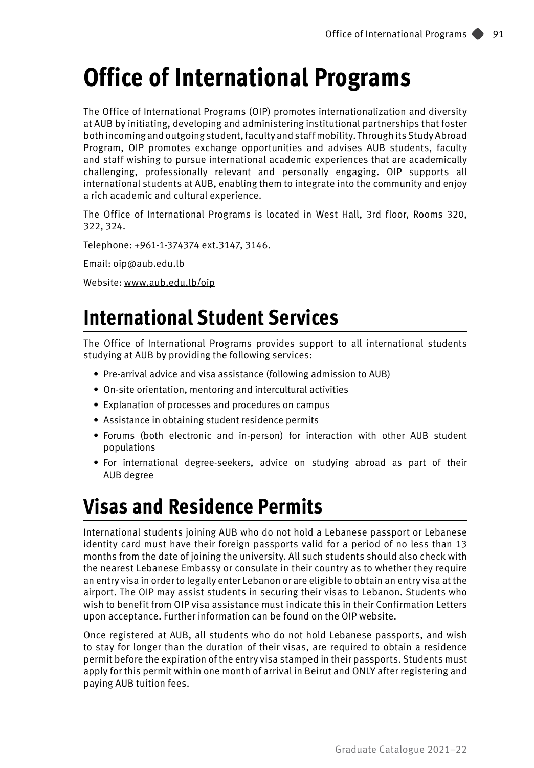# **Office of International Programs**

The Office of International Programs (OIP) promotes internationalization and diversity at AUB by initiating, developing and administering institutional partnerships that foster both incoming and outgoing student, faculty and staff mobility. Through its Study Abroad Program, OIP promotes exchange opportunities and advises AUB students, faculty and staff wishing to pursue international academic experiences that are academically challenging, professionally relevant and personally engaging. OIP supports all international students at AUB, enabling them to integrate into the community and enjoy a rich academic and cultural experience.

The Office of International Programs is located in West Hall, 3rd floor, Rooms 320, 322, 324.

Telephone: +961-1-374374 ext.3147, 3146.

Email: oip@aub.edu.lb

Website: www.aub.edu.lb/oip

### **International Student Services**

The Office of International Programs provides support to all international students studying at AUB by providing the following services:

- Pre-arrival advice and visa assistance (following admission to AUB)
- On-site orientation, mentoring and intercultural activities
- Explanation of processes and procedures on campus
- Assistance in obtaining student residence permits
- Forums (both electronic and in-person) for interaction with other AUB student populations
- For international degree-seekers, advice on studying abroad as part of their AUB degree

### **Visas and Residence Permits**

International students joining AUB who do not hold a Lebanese passport or Lebanese identity card must have their foreign passports valid for a period of no less than 13 months from the date of joining the university. All such students should also check with the nearest Lebanese Embassy or consulate in their country as to whether they require an entry visa in order to legally enter Lebanon or are eligible to obtain an entry visa at the airport. The OIP may assist students in securing their visas to Lebanon. Students who wish to benefit from OIP visa assistance must indicate this in their Confirmation Letters upon acceptance. Further information can be found on the OIP website.

Once registered at AUB, all students who do not hold Lebanese passports, and wish to stay for longer than the duration of their visas, are required to obtain a residence permit before the expiration of the entry visa stamped in their passports. Students must apply for this permit within one month of arrival in Beirut and ONLY after registering and paying AUB tuition fees.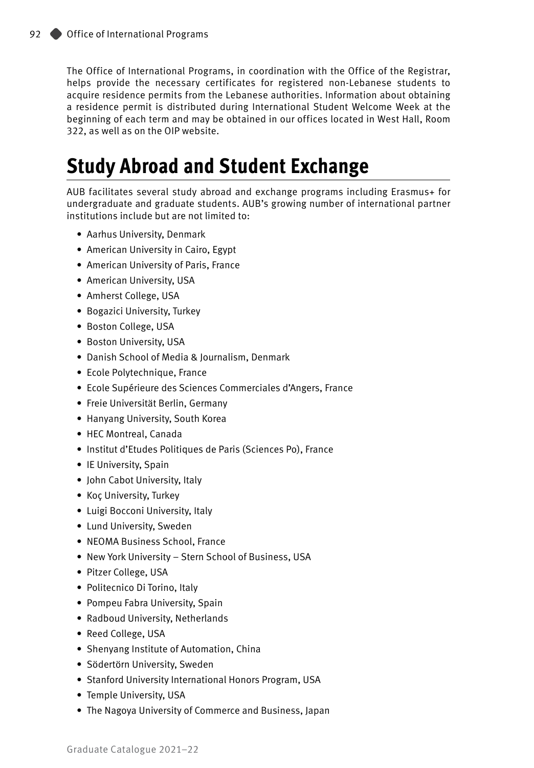The Office of International Programs, in coordination with the Office of the Registrar, helps provide the necessary certificates for registered non-Lebanese students to acquire residence permits from the Lebanese authorities. Information about obtaining a residence permit is distributed during International Student Welcome Week at the beginning of each term and may be obtained in our offices located in West Hall, Room 322, as well as on the OIP website.

### **Study Abroad and Student Exchange**

AUB facilitates several study abroad and exchange programs including Erasmus+ for undergraduate and graduate students. AUB's growing number of international partner institutions include but are not limited to:

- Aarhus University, Denmark
- American University in Cairo, Egypt
- American University of Paris, France
- American University, USA
- Amherst College, USA
- Bogazici University, Turkey
- Boston College, USA
- Boston University, USA
- Danish School of Media & Journalism, Denmark
- Ecole Polytechnique, France
- Ecole Supérieure des Sciences Commerciales d'Angers, France
- Freie Universität Berlin, Germany
- Hanyang University, South Korea
- HEC Montreal, Canada
- Institut d'Etudes Politiques de Paris (Sciences Po), France
- IE University, Spain
- John Cabot University, Italy
- Koç University, Turkey
- Luigi Bocconi University, Italy
- Lund University, Sweden
- NEOMA Business School, France
- New York University Stern School of Business, USA
- Pitzer College, USA
- Politecnico Di Torino, Italy
- Pompeu Fabra University, Spain
- Radboud University, Netherlands
- Reed College, USA
- Shenyang Institute of Automation, China
- Södertörn University, Sweden
- Stanford University International Honors Program, USA
- Temple University, USA
- The Nagoya University of Commerce and Business, Japan